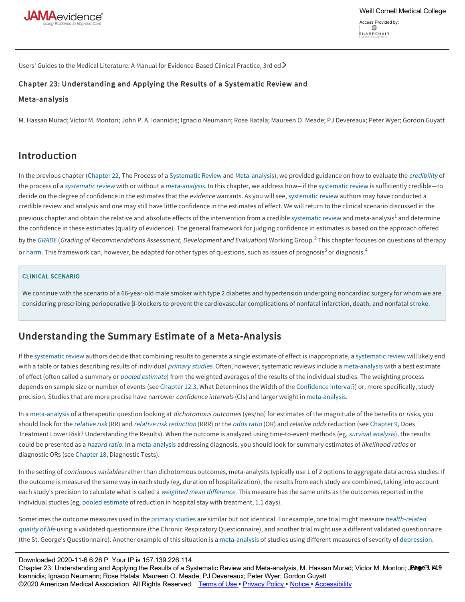

Users' Guides to the Medical Literature: A Manual for Evidence-Based Clinical Practice, 3rd ed  $\geq$ 

# Chapter 23: Understanding and Applying the Results of a Systematic Review and

## Meta-analysis

M. Hassan Murad; Victor M. Montori; John P. A. Ioannidis; Ignacio Neumann; Rose Hatala; Maureen O. Meade; PJ Devereaux; Peter Wyer; Gordon Guyatt

# Introduction

In the previous chapter ([Chapter 22](https://jamaevidence.mhmedical.com/content.aspx?legacysectionid=Guyatt_ch22), The Process of a [Systematic Review](https://jamaevidence.mhmedical.com/glossary.aspx?gbosid=190366) and [Meta-analysis](https://jamaevidence.mhmedical.com/glossary.aspx?gbosid=190201)), we provided guidance on how to evaluate the [credibility](https://jamaevidence.mhmedical.com/glossary.aspx?gbosid=190043) of the process of a [systematic review](https://jamaevidence.mhmedical.com/glossary.aspx?gbosid=190366) with or without a [meta-analysis](https://jamaevidence.mhmedical.com/glossary.aspx?gbosid=190201). In this chapter, we address how-if the [systematic review](https://jamaevidence.mhmedical.com/glossary.aspx?gbosid=190366) is sufficiently credible-to decide on the degree of confidence in the estimates that the evidence warrants. As you will see, [systematic review](https://jamaevidence.mhmedical.com/glossary.aspx?gbosid=190366) authors may have conducted a credible review and analysis and one may still have little confidence in the estimates of effect. We will return to the clinical scenario discussed in the previous chapter and obtain the relative and absolute effects of the intervention from a credible [systematic review](https://jamaevidence.mhmedical.com/glossary.aspx?gbosid=190366) and meta-analysis $^1$  $^1$  and determine the confidence in these estimates (quality of evidence). The general framework for judging confidence in estimates is based on the approach offered by the *[GRADE](https://jamaevidence.mhmedical.com/glossary.aspx?gbosid=190123)* (*Grading of Recommendations Assessment, Development and Evaluation*) Working Group.<sup>[2](https://jamaevidence.mhmedical.com/#guyatt_ch23_bib2)</sup> This chapter focuses on questions of therapy or [harm.](https://jamaevidence.mhmedical.com/glossary.aspx?gbosid=190126) This framework can, however, be adapted for other types of questions, such as issues of prognosis $^3$  $^3$  or diagnosis. $^4$  $^4$ 

## CLINICAL SCENARIO

We continue with the scenario of a 66-year-old male smoker with type 2 diabetes and hypertension undergoing noncardiac surgery for whom we are considering prescribing perioperative β-blockers to prevent the cardiovascular complications of nonfatal infarction, death, and nonfatal [stroke](https://jamaevidence.mhmedical.com/glossary.aspx?gbosid=146567).

# Understanding the Summary Estimate of a Meta-Analysis

If the [systematic review](https://jamaevidence.mhmedical.com/glossary.aspx?gbosid=190366) authors decide that combining results to generate a single estimate of effect is inappropriate, a [systematic review](https://jamaevidence.mhmedical.com/glossary.aspx?gbosid=190366) will likely end with a table or tables describing results of individual *[primary studies](https://jamaevidence.mhmedical.com/glossary.aspx?gbosid=190277)*. Often, however, systematic reviews include a [meta-analysis](https://jamaevidence.mhmedical.com/glossary.aspx?gbosid=190201) with a best estimate of effect (often called a summary or [pooled estimate](https://jamaevidence.mhmedical.com/glossary.aspx?gbosid=190263)) from the weighted averages of the results of the individual studies. The weighting process depends on sample size or number of events (see [Chapter 12.3,](https://jamaevidence.mhmedical.com/content.aspx?legacysectionid=Guyatt_ch12.3) What Determines the Width of the [Confidence Interval?](https://jamaevidence.mhmedical.com/glossary.aspx?gbosid=538774)) or, more specifically, study precision. Studies that are more precise have narrower confidence intervals (CIs) and larger weight in [meta-analysis.](https://jamaevidence.mhmedical.com/glossary.aspx?gbosid=190201)

In a [meta-analysis](https://jamaevidence.mhmedical.com/glossary.aspx?gbosid=190201) of a therapeutic question looking at dichotomous outcomes (yes/no) for estimates of the magnitude of the benefits or risks, you should look for the [relative risk](https://jamaevidence.mhmedical.com/glossary.aspx?gbosid=190311) (RR) and [relative risk reduction](https://jamaevidence.mhmedical.com/glossary.aspx?gbosid=190313) (RRR) or the [odds ratio](https://jamaevidence.mhmedical.com/glossary.aspx?gbosid=190232) (OR) and relative odds reduction (see [Chapter 9,](https://jamaevidence.mhmedical.com/content.aspx?legacysectionid=Guyatt_ch9) Does Treatment Lower Risk? Understanding the Results). When the outcome is analyzed using time-to-event methods (eg, [survival analysi](https://jamaevidence.mhmedical.com/glossary.aspx?gbosid=190359)s), the results could be presented as a [hazard ratio](https://jamaevidence.mhmedical.com/glossary.aspx?gbosid=190128). In a [meta-analysis](https://jamaevidence.mhmedical.com/glossary.aspx?gbosid=190201) addressing diagnosis, you should look for summary estimates of likelihood ratios or diagnostic ORs (see [Chapter 18](https://jamaevidence.mhmedical.com/content.aspx?legacysectionid=Guyatt_ch18), Diagnostic Tests).

In the setting of continuous variables rather than dichotomous outcomes, meta-analysts typically use 1 of 2 options to aggregate data across studies. If the outcome is measured the same way in each study (eg, duration of hospitalization), the results from each study are combined, taking into account each study's precision to calculate what is called a [weighted mean difference](https://jamaevidence.mhmedical.com/glossary.aspx?gbosid=190410). This measure has the same units as the outcomes reported in the individual studies (eg, [pooled estimate](https://jamaevidence.mhmedical.com/glossary.aspx?gbosid=190263) of reduction in hospital stay with treatment, 1.1 days).

Sometimes the outcome measures used in the [primary studies](https://jamaevidence.mhmedical.com/glossary.aspx?gbosid=190277) are similar but not identical. For example, one trial might measure health-related quality of life [using a validated questionnaire \(the Chronic Respiratory Questionnaire\), and another trial might use a different validated question](https://jamaevidence.mhmedical.com/glossary.aspx?gbosid=190132)naire (the St. George's Questionnaire). Another example of this situation is a [meta-analysis](https://jamaevidence.mhmedical.com/glossary.aspx?gbosid=190201) of studies using different measures of severity of [depression](https://jamaevidence.mhmedical.com/glossary.aspx?gbosid=146366).

Downloaded 2020-11-6 6:26 P Your IP is 157.139.226.114 Chapter 23: Understanding and Applying the Results of a Systematic Review and Meta-analysis, M. Hassan Murad; Victor M. Montori; **JeageP! /A!9** Ioannidis; Ignacio Neumann; Rose Hatala; Maureen O. Meade; PJ Devereaux; Peter Wyer; Gordon Guyatt<br>Casso A ©2020 American Medical Association. All Rights Reserved. <u>Terms of Use • [Privacy Policy](https://jamaevidence.mhmedical.com/privacy) • [Notice](https://jamaevidence.mhmedical.com/ss/notice.aspx) • [Accessibility](https://jamaevidence.mhmedical.com/about/accessibility.html)</u>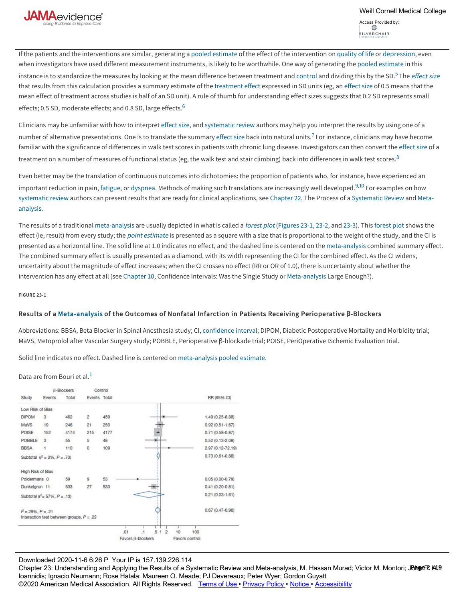

If the patients and the interventions are similar, generating a [pooled estimate](https://jamaevidence.mhmedical.com/glossary.aspx?gbosid=190263) of the effect of the intervention on [quality of life](https://jamaevidence.mhmedical.com/glossary.aspx?gbosid=146506) or [depression,](https://jamaevidence.mhmedical.com/glossary.aspx?gbosid=146366) even when investigators have used different measurement instruments, is likely to be worthwhile. One way of generating the [pooled estimate](https://jamaevidence.mhmedical.com/glossary.aspx?gbosid=190263) in this

 $\bigcup_{i=1}^{n} \text{Cov}(t_{i+1})$  and  $\bigcup_{i=1}^{n} \text{Cov}(t_{i+1})$  and  $\bigcup_{i=1}^{n} \text{Cov}(t_{i+1})$ 

instance is to standardize the measures by looking at the mean difference between treatment and [control](https://jamaevidence.mhmedical.com/glossary.aspx?gbosid=508969) and dividing this by the SD.<sup>[5](https://jamaevidence.mhmedical.com/#guyatt_ch23_bib5)</sup> The *[effect size](https://jamaevidence.mhmedical.com/glossary.aspx?gbosid=190080)* that results from this calculation provides a summary estimate of the [treatment effect](https://jamaevidence.mhmedical.com/glossary.aspx?gbosid=190381) expressed in SD units (eg, an [effect size](https://jamaevidence.mhmedical.com/glossary.aspx?gbosid=190080) of 0.5 means that the mean effect of treatment across studies is half of an SD unit). A rule of thumb for understanding effect sizes suggests that 0.2 SD represents small effects; 0.5 SD, moderate effects; and 0.8 SD, large effects.<sup>[6](https://jamaevidence.mhmedical.com/#guyatt_ch23_bib6)</sup>

Clinicians may be unfamiliar with how to interpret [effect size,](https://jamaevidence.mhmedical.com/glossary.aspx?gbosid=190080) and [systematic review](https://jamaevidence.mhmedical.com/glossary.aspx?gbosid=190366) authors may help you interpret the results by using one of a number of alternative presentations. One is to translate the summary [effect size](https://jamaevidence.mhmedical.com/glossary.aspx?gbosid=190080) back into natural units.<sup>[7](https://jamaevidence.mhmedical.com/#guyatt_ch23_bib7)</sup> For instance, clinicians may have become familiar with the significance of differences in walk test scores in patients with chronic lung disease. Investigators can then convert the [effect size](https://jamaevidence.mhmedical.com/glossary.aspx?gbosid=190080) of a treatment on a number of measures of functional status (eg, the walk test and stair climbing) back into differences in walk test scores.<sup>[8](https://jamaevidence.mhmedical.com/#guyatt_ch23_bib8)</sup>

Even better may be the translation of continuous outcomes into dichotomies: the proportion of patients who, for instance, have experienced an important reduction in pain, [fatigue,](https://jamaevidence.mhmedical.com/glossary.aspx?gbosid=146397) or [dyspnea](https://jamaevidence.mhmedical.com/glossary.aspx?gbosid=146382). Methods of making such translations are increasingly well developed.<sup>[9](https://jamaevidence.mhmedical.com/#guyatt_ch23_bib9)[,10](https://jamaevidence.mhmedical.com/#guyatt_ch23_bib10)</sup> For examples on how [systematic review authors can present results that are ready for clinical applications, see Chapter 22, The Process of a Systematic Review and Meta](https://jamaevidence.mhmedical.com/glossary.aspx?gbosid=190201)analysis.

The results of a traditional [meta-analysis](https://jamaevidence.mhmedical.com/glossary.aspx?gbosid=190201) are usually depicted in what is called a [forest plot](https://jamaevidence.mhmedical.com/glossary.aspx?gbosid=190112) [\(Figures 23-1](https://jamaevidence.mhmedical.com/#guyatt_ch23_fig1), [23-2](https://jamaevidence.mhmedical.com/#guyatt_ch23_fig2), and [23-3\)](https://jamaevidence.mhmedical.com/#guyatt_ch23_fig3). This [forest plot](https://jamaevidence.mhmedical.com/glossary.aspx?gbosid=190112) shows the effect (ie, result) from every study; the *[point estimate](https://jamaevidence.mhmedical.com/glossary.aspx?gbosid=190261)* is presented as a square with a size that is proportional to the weight of the study, and the CI is presented as a horizontal line. The solid line at 1.0 indicates no effect, and the dashed line is centered on the [meta-analysis](https://jamaevidence.mhmedical.com/glossary.aspx?gbosid=190201) combined summary effect. The combined summary effect is usually presented as a diamond, with its width representing the CI for the combined effect. As the CI widens, uncertainty about the magnitude of effect increases; when the CI crosses no effect (RR or OR of 1.0), there is uncertainty about whether the intervention has any effect at all (see [Chapter 10](https://jamaevidence.mhmedical.com/content.aspx?legacysectionid=Guyatt_ch10), Confidence Intervals: Was the Single Study or [Meta-analysis](https://jamaevidence.mhmedical.com/glossary.aspx?gbosid=190201) Large Enough?).

#### FIGURE 23-1

## Results of a [Meta-analysis](https://jamaevidence.mhmedical.com/glossary.aspx?gbosid=190201) of the Outcomes of Nonfatal Infarction in Patients Receiving Perioperative **β**-Blockers

Abbreviations: BBSA, Beta Blocker in Spinal Anesthesia study; CI, [confidence interval;](https://jamaevidence.mhmedical.com/glossary.aspx?gbosid=538774) DIPOM, Diabetic Postoperative Mortality and Morbidity trial; MaVS, Metoprolol after Vascular Surgery study; POBBLE, Perioperative β-blockade trial; POISE, PeriOperative ISchemic Evaluation trial.

Solid line indicates no effect. Dashed line is centered on [meta-analysis](https://jamaevidence.mhmedical.com/glossary.aspx?gbosid=190201) [pooled estimate](https://jamaevidence.mhmedical.com/glossary.aspx?gbosid=190263).

Data are from Bouri et al.<sup>[1](https://jamaevidence.mhmedical.com/#guyatt_ch23_bib1)</sup>



Downloaded 2020-11-6 6:26 P Your IP is 157.139.226.114

ensperative comes summang analysperative and the Outcomes of Devereaux; Peter Wyer; Gordon Guyatt<br>Ioannidis; Ignacio Neumann; Rose Hatala; Maureen O. Meade; PJ Devereaux; Peter Wyer; Gordon Guyatt Abbreviations: BBSA, Beta Blocker in Spinal Anesthesia study; CI, confidence interval; DIPOM, Diabetic Postoperative Mortality and Morbidity trial; Chapter 23: Understanding and Applying the Results of a Systematic Review and Meta-analysis, M. Hassan Murad; Victor M. Montori; **Je<del>ageP</del> /A9** ©2020 American Medical Association. All Rights Reserved. [Terms of Use](https://jamaevidence.mhmedical.com/ss/terms.aspx) · [Privacy Policy](https://jamaevidence.mhmedical.com/privacy) · [Notice](https://jamaevidence.mhmedical.com/ss/notice.aspx) · [Accessibility](https://jamaevidence.mhmedical.com/about/accessibility.html)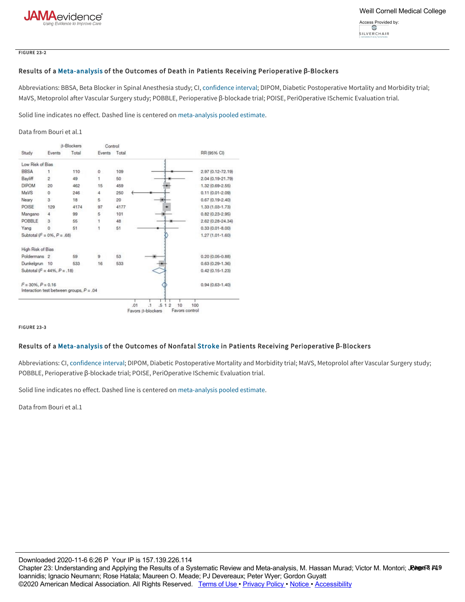#### FIGURE 23-2

## Results of a [Meta-analysis](https://jamaevidence.mhmedical.com/glossary.aspx?gbosid=190201) of the Outcomes of Death in Patients Receiving Perioperative **β**-Blockers

Abbreviations: BBSA, Beta Blocker in Spinal Anesthesia study; CI, [confidence interval;](https://jamaevidence.mhmedical.com/glossary.aspx?gbosid=538774) DIPOM, Diabetic Postoperative Mortality and Morbidity trial; MaVS, Metoprolol after Vascular Surgery study; POBBLE, Perioperative β-blockade trial; POISE, PeriOperative ISchemic Evaluation trial.

Solid line indicates no effect. Dashed line is centered on [meta-analysis](https://jamaevidence.mhmedical.com/glossary.aspx?gbosid=190201) [pooled estimate](https://jamaevidence.mhmedical.com/glossary.aspx?gbosid=190263).

#### Data from Bouri et al.1



#### FIGURE 23-3

## Results of a [Meta-analysis](https://jamaevidence.mhmedical.com/glossary.aspx?gbosid=190201) of the Outcomes of Nonfatal [Stroke](https://jamaevidence.mhmedical.com/glossary.aspx?gbosid=146567) in Patients Receiving Perioperative **β**-Blockers

Abbreviations: CI, [confidence interval](https://jamaevidence.mhmedical.com/glossary.aspx?gbosid=538774); DIPOM, Diabetic Postoperative Mortality and Morbidity trial; MaVS, Metoprolol after Vascular Surgery study; POBBLE, Perioperative β-blockade trial; POISE, PeriOperative ISchemic Evaluation trial.

Solid line indicates no effect. Dashed line is centered on [meta-analysis](https://jamaevidence.mhmedical.com/glossary.aspx?gbosid=190201) [pooled estimate](https://jamaevidence.mhmedical.com/glossary.aspx?gbosid=190263).

Data from Bouri et al.1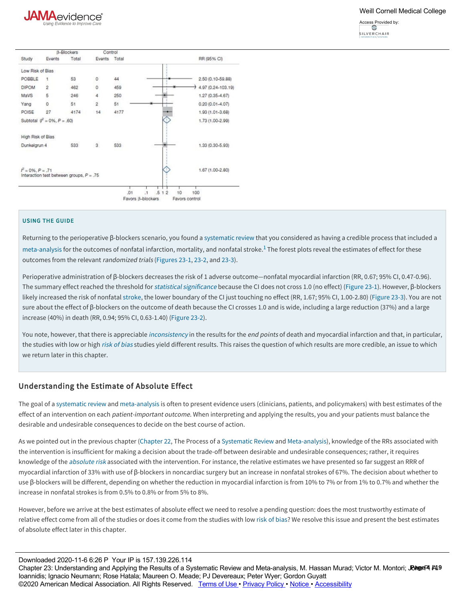



### USING THE GUIDE

Returning to the perioperative β-blockers scenario, you found a [systematic review](https://jamaevidence.mhmedical.com/glossary.aspx?gbosid=190366) that you considered as having a credible process that included a [meta-analysis](https://jamaevidence.mhmedical.com/glossary.aspx?gbosid=190201) for the outcomes of nonfatal infarction, mortality, and nonfatal stroke. $^1$  $^1$  The forest plots reveal the estimates of effect for these outcomes from the relevant randomized trials [\(Figures 23-1,](https://jamaevidence.mhmedical.com/#guyatt_ch23_fig1) [23-2,](https://jamaevidence.mhmedical.com/#guyatt_ch23_fig2) and [23-3](https://jamaevidence.mhmedical.com/#guyatt_ch23_fig3)).

Perioperative administration of β-blockers decreases the risk of 1 adverse outcome—nonfatal myocardial infarction (RR, 0.67; 95% CI, 0.47-0.96). The summary effect reached the threshold for [statistical significance](https://jamaevidence.mhmedical.com/glossary.aspx?gbosid=190347) because the CI does not cross 1.0 (no effect) [\(Figure 23-1](https://jamaevidence.mhmedical.com/#guyatt_ch23_fig1)). However, β-blockers likely increased the risk of nonfatal [stroke,](https://jamaevidence.mhmedical.com/glossary.aspx?gbosid=146567) the lower boundary of the CI just touching no effect (RR, 1.67; 95% CI, 1.00-2.80) ([Figure 23-3\)](https://jamaevidence.mhmedical.com/#guyatt_ch23_fig3). You are not sure about the effect of β-blockers on the outcome of death because the CI crosses 1.0 and is wide, including a large reduction (37%) and a large increase (40%) in death (RR, 0.94; 95% CI, 0.63-1.40) ([Figure 23-2](https://jamaevidence.mhmedical.com/#guyatt_ch23_fig2)).

You note, however, that there is appreciable [inconsistency](https://jamaevidence.mhmedical.com/glossary.aspx?gbosid=190146) in the results for the end points of death and myocardial infarction and that, in particular, the studies with low or high [risk of bias](https://jamaevidence.mhmedical.com/glossary.aspx?gbosid=190324) studies yield different results. This raises the question of which results are more credible, an issue to which we return later in this chapter.

## Understanding the Estimate of Absolute Effect

The goal of a [systematic review](https://jamaevidence.mhmedical.com/glossary.aspx?gbosid=190366) and [meta-analysis](https://jamaevidence.mhmedical.com/glossary.aspx?gbosid=190201) is often to present evidence users (clinicians, patients, and policymakers) with best estimates of the effect of an intervention on each patient-important outcome. When interpreting and applying the results, you and your patients must balance the desirable and undesirable consequences to decide on the best course of action.

As we pointed out in the previous chapter [\(Chapter 22](https://jamaevidence.mhmedical.com/content.aspx?legacysectionid=Guyatt_ch22), The Process of a [Systematic Review](https://jamaevidence.mhmedical.com/glossary.aspx?gbosid=190366) and [Meta-analysis](https://jamaevidence.mhmedical.com/glossary.aspx?gbosid=190201)), knowledge of the RRs associated with the intervention is insufficient for making a decision about the trade-off between desirable and undesirable consequences; rather, it requires knowledge of the *[absolute risk](https://jamaevidence.mhmedical.com/glossary.aspx?gbosid=189948)* associated with the intervention. For instance, the relative estimates we have presented so far suggest an RRR of myocardial infarction of 33% with use of β-blockers in noncardiac surgery but an increase in nonfatal strokes of 67%. The decision about whether to use β-blockers will be different, depending on whether the reduction in myocardial infarction is from 10% to 7% or from 1% to 0.7% and whether the increase in nonfatal strokes is from 0.5% to 0.8% or from 5% to 8%.

However, before we arrive at the best estimates of absolute effect we need to resolve a pending question: does the most trustworthy estimate of relative effect come from all of the studies or does it come from the studies with low [risk of bias?](https://jamaevidence.mhmedical.com/glossary.aspx?gbosid=190324) We resolve this issue and present the best estimates of absolute effect later in this chapter.

 $R$  . The Estimates (The  $\Gamma$  Confidence) in the Estimates (The  $\Gamma$ Chapter 23: Understanding and Applying the Results of a Systematic Review and Meta-analysis, M. Hassan Murad; Victor M. Montori; Jeage 4 / 49 odifficio, ignacio Nodinalini, Noso Natala, Madrosh O. Modas, Po Boversada, Potor Wyer, Soraen Sayatt<br>©2020 American Medical Association. All Rights Reserved. [Terms of Use](https://jamaevidence.mhmedical.com/ss/terms.aspx) • [Privacy Policy](https://jamaevidence.mhmedical.com/privacy) • [Notice](https://jamaevidence.mhmedical.com/ss/notice.aspx) • [Accessibility](https://jamaevidence.mhmedical.com/about/accessibility.html) is important for clinical practice guideline developers when they make their recommendations and for clinicians and patients when they decide on Downloaded 2020-11-6 6:26 P Your IP is 157.139.226.114 Ioannidis; Ignacio Neumann; Rose Hatala; Maureen O. Meade; PJ Devereaux; Peter Wyer; Gordon Guyatt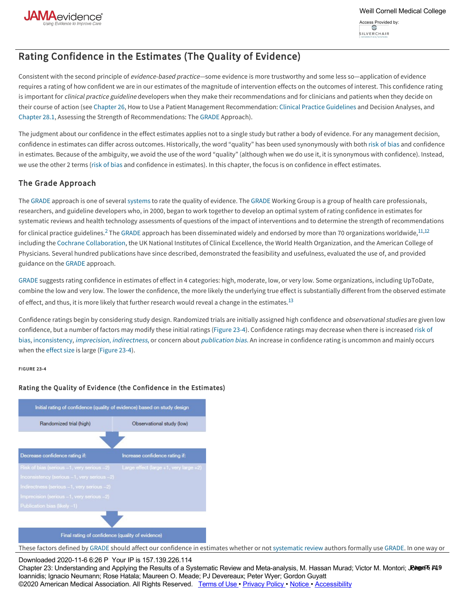

# Rating Confidence in the Estimates (The Quality of Evidence)

Consistent with the second principle of *evidence-based practice*—some evidence is more trustworthy and some less so—application of evidence requires a rating of how confident we are in our estimates of the magnitude of intervention effects on the outcomes of interest. This confidence rating is important for *clinical practice guideline* developers when they make their recommendations and for clinicians and patients when they decide on their course of action (see [Chapter 26](https://jamaevidence.mhmedical.com/content.aspx?legacysectionid=Guyatt_ch26), How to Use a Patient Management Recommendation: [Clinical Practice Guidelines](https://jamaevidence.mhmedical.com/glossary.aspx?gbosid=189998) and Decision Analyses, and [Chapter 28.1,](https://jamaevidence.mhmedical.com/content.aspx?legacysectionid=Guyatt_ch28.1) Assessing the Strength of Recommendations: The [GRADE](https://jamaevidence.mhmedical.com/glossary.aspx?gbosid=190123) Approach).

The judgment about our confidence in the effect estimates applies not to a single study but rather a body of evidence. For any management decision, confidence in estimates can differ across outcomes. Historically, the word "quality" has been used synonymously with both [risk of bias](https://jamaevidence.mhmedical.com/glossary.aspx?gbosid=190324) and confidence in estimates. Because of the ambiguity, we avoid the use of the word "quality" (although when we do use it, it is synonymous with confidence). Instead, we use the other 2 terms ([risk of bias](https://jamaevidence.mhmedical.com/glossary.aspx?gbosid=190324) and confidence in estimates). In this chapter, the focus is on confidence in effect estimates.

# The Grade Approach

The [GRADE](https://jamaevidence.mhmedical.com/glossary.aspx?gbosid=190123) approach is one of several [systems](https://jamaevidence.mhmedical.com/glossary.aspx?gbosid=190367) to rate the quality of evidence. The [GRADE](https://jamaevidence.mhmedical.com/glossary.aspx?gbosid=190123) Working Group is a group of health care professionals, researchers, and guideline developers who, in 2000, began to work together to develop an optimal system of rating confidence in estimates for systematic reviews and health technology assessments of questions of the impact of interventions and to determine the strength of recommendations for clinical practice guidelines.<sup>[2](https://jamaevidence.mhmedical.com/#guyatt_ch23_bib2)</sup> The [GRADE](https://jamaevidence.mhmedical.com/glossary.aspx?gbosid=190123) approach has been disseminated widely and endorsed by more than 70 organizations worldwide, $^{11,12}$  $^{11,12}$  $^{11,12}$  $^{11,12}$ including the [Cochrane Collaboration](https://jamaevidence.mhmedical.com/glossary.aspx?gbosid=190001), the UK National Institutes of Clinical Excellence, the World Health Organization, and the American College of Physicians. Several hundred publications have since described, demonstrated the feasibility and usefulness, evaluated the use of, and provided guidance on the [GRADE](https://jamaevidence.mhmedical.com/glossary.aspx?gbosid=190123) approach.

[GRADE](https://jamaevidence.mhmedical.com/glossary.aspx?gbosid=190123) suggests rating confidence in estimates of effect in 4 categories: high, moderate, low, or very low. Some organizations, including UpToDate, combine the low and very low. The lower the confidence, the more likely the underlying true effect is substantially different from the observed estimate of effect, and thus, it is more likely that further research would reveal a change in the estimates.<sup>[13](https://jamaevidence.mhmedical.com/#guyatt_ch23_bib13)</sup>

Confidence ratings begin by considering study design. Randomized trials are initially assigned high confidence and *observational studies* are given low [confidence, but a number of factors may modify these initial ratings \(Figure 23-4\). Confidence ratings may decrease when there is increased risk of](https://jamaevidence.mhmedical.com/glossary.aspx?gbosid=190324) bias, [inconsistency](https://jamaevidence.mhmedical.com/glossary.aspx?gbosid=190146), *[imprecision](https://jamaevidence.mhmedical.com/glossary.aspx?gbosid=190142)*, *[indirectness](https://jamaevidence.mhmedical.com/glossary.aspx?gbosid=190154)*, or concern about *[publication bias.](https://jamaevidence.mhmedical.com/glossary.aspx?gbosid=190285)* An increase in confidence rating is uncommon and mainly occurs when the [effect size](https://jamaevidence.mhmedical.com/glossary.aspx?gbosid=190080) is large [\(Figure 23-4](https://jamaevidence.mhmedical.com/#guyatt_ch23_fig4)).

## FIGURE 23-4

## Rating the Quality of Evidence (the Confidence in the Estimates)



These factors defined by [GRADE](https://jamaevidence.mhmedical.com/glossary.aspx?gbosid=190123) should affect our confidence in estimates whether or not [systematic review](https://jamaevidence.mhmedical.com/glossary.aspx?gbosid=190366) authors formally use [GRADE](https://jamaevidence.mhmedical.com/glossary.aspx?gbosid=190123). In one way or

Downloaded 2020-11-6 6:26 P Your IP is 157.139.226.114

Chapter 23: Understanding and Applying the Results of a Systematic Review and Meta-analysis, M. Hassan Murad; Victor M. Montori; **JcageF**5 **A**19 ©2020 American Medical Association. All Rights Reserved. <u>Terms of Use • [Privacy Policy](https://jamaevidence.mhmedical.com/privacy) • [Notice](https://jamaevidence.mhmedical.com/ss/notice.aspx) • [Accessibility](https://jamaevidence.mhmedical.com/about/accessibility.html)</u><br>— Ioannidis; Ignacio Neumann; Rose Hatala; Maureen O. Meade; PJ Devereaux; Peter Wyer; Gordon Guyatt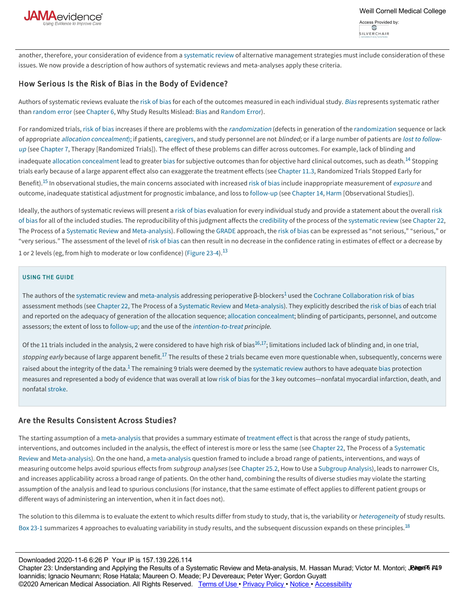

another, therefore, your consideration of evidence from a [systematic review](https://jamaevidence.mhmedical.com/glossary.aspx?gbosid=190366) of alternative management strategies must include consideration of these issues. We now provide a description of how authors of systematic reviews and meta-analyses apply these criteria.

# How Serious Is the Risk of Bias in the Body of Evidence?

Authors of systematic reviews evaluate the [risk of bias](https://jamaevidence.mhmedical.com/glossary.aspx?gbosid=190324) for each of the outcomes measured in each individual study. [Bias](https://jamaevidence.mhmedical.com/glossary.aspx?gbosid=189973) represents systematic rather than [random error](https://jamaevidence.mhmedical.com/glossary.aspx?gbosid=190297) (see [Chapter 6](https://jamaevidence.mhmedical.com/content.aspx?legacysectionid=Guyatt_ch6), Why Study Results Mislead: [Bias](https://jamaevidence.mhmedical.com/glossary.aspx?gbosid=189973) and [Random Error\)](https://jamaevidence.mhmedical.com/glossary.aspx?gbosid=190297).

For randomized trials, [risk of bias](https://jamaevidence.mhmedical.com/glossary.aspx?gbosid=190324) increases if there are problems with the *[randomization](https://jamaevidence.mhmedical.com/glossary.aspx?gbosid=190298)* (defects in generation of the [randomization](https://jamaevidence.mhmedical.com/glossary.aspx?gbosid=190298) sequence or lack of appropriate [allocation concealment](https://jamaevidence.mhmedical.com/glossary.aspx?gbosid=189959)); if patients, [caregivers](https://jamaevidence.mhmedical.com/glossary.aspx?gbosid=146334), and study personnel are not blinded; or if a large number of patients are lost to follow-up [\(see Chapter 7, Therapy \[Randomized Trials\]\). The effect of these problems can differ across outcomes. For example, lack of blinding and](https://jamaevidence.mhmedical.com/glossary.aspx?gbosid=190193) inadequate [allocation concealment](https://jamaevidence.mhmedical.com/glossary.aspx?gbosid=189959) lead to greater [bias](https://jamaevidence.mhmedical.com/glossary.aspx?gbosid=189973) for subjective outcomes than for objective hard clinical outcomes, such as death.<sup>[14](https://jamaevidence.mhmedical.com/#guyatt_ch23_bib14)</sup> Stopping trials early because of a large apparent effect also can exaggerate the treatment effects (see [Chapter 11.3,](https://jamaevidence.mhmedical.com/content.aspx?legacysectionid=Guyatt_ch11.3) Randomized Trials Stopped Early for Benefit).<sup>[15](https://jamaevidence.mhmedical.com/#guyatt_ch23_bib15)</sup> In observational studies, the main concerns associated with increased [risk of bias](https://jamaevidence.mhmedical.com/glossary.aspx?gbosid=190324) include inappropriate measurement of [exposure](https://jamaevidence.mhmedical.com/glossary.aspx?gbosid=190099) and outcome, inadequate statistical adjustment for prognostic imbalance, and loss to [follow-up](https://jamaevidence.mhmedical.com/glossary.aspx?gbosid=190110) (see [Chapter 14,](https://jamaevidence.mhmedical.com/content.aspx?legacysectionid=Guyatt_ch14) [Harm](https://jamaevidence.mhmedical.com/glossary.aspx?gbosid=190126) [Observational Studies]).

Ideally, the authors of systematic reviews will present a [risk of bias](https://jamaevidence.mhmedical.com/glossary.aspx?gbosid=190324) evaluation for every individual study and provide a statement about the overall risk [of bias for all of the included studies. The reproducibility of this judgment affects the credibility of the process of the systematic review \(see Chapter 2](https://jamaevidence.mhmedical.com/glossary.aspx?gbosid=190324)[2,](https://jamaevidence.mhmedical.com/content.aspx?legacysectionid=Guyatt_ch22) The Process of a [Systematic Review](https://jamaevidence.mhmedical.com/glossary.aspx?gbosid=190366) and [Meta-analysis\)](https://jamaevidence.mhmedical.com/glossary.aspx?gbosid=190201). Following the [GRADE](https://jamaevidence.mhmedical.com/glossary.aspx?gbosid=190123) approach, the [risk of bias](https://jamaevidence.mhmedical.com/glossary.aspx?gbosid=190324) can be expressed as "not serious," "serious," or "very serious." The assessment of the level of [risk of bias](https://jamaevidence.mhmedical.com/glossary.aspx?gbosid=190324) can then result in no decrease in the confidence rating in estimates of effect or a decrease by 1 or 2 levels (eg, from high to moderate or low confidence) [\(Figure 23-4](https://jamaevidence.mhmedical.com/#guyatt_ch23_fig4)).[13](https://jamaevidence.mhmedical.com/#guyatt_ch23_bib13)

## USING THE GUIDE

The authors of the [systematic review](https://jamaevidence.mhmedical.com/glossary.aspx?gbosid=190366) and [meta-analysis](https://jamaevidence.mhmedical.com/glossary.aspx?gbosid=190201) addressing perioperative β-blockers $^1$  $^1$  used the [Cochrane Collaboration](https://jamaevidence.mhmedical.com/glossary.aspx?gbosid=190001) [risk of bias](https://jamaevidence.mhmedical.com/glossary.aspx?gbosid=190324) assessment methods (see [Chapter 22,](https://jamaevidence.mhmedical.com/content.aspx?legacysectionid=Guyatt_ch22) The Process of a [Systematic Review](https://jamaevidence.mhmedical.com/glossary.aspx?gbosid=190366) and [Meta-analysis\)](https://jamaevidence.mhmedical.com/glossary.aspx?gbosid=190201). They explicitly described the [risk of bias](https://jamaevidence.mhmedical.com/glossary.aspx?gbosid=190324) of each trial and reported on the adequacy of generation of the allocation sequence; [allocation concealment;](https://jamaevidence.mhmedical.com/glossary.aspx?gbosid=189959) blinding of participants, personnel, and outcome assessors; the extent of loss to [follow-up](https://jamaevidence.mhmedical.com/glossary.aspx?gbosid=190110); and the use of the [intention-to-treat](https://jamaevidence.mhmedical.com/glossary.aspx?gbosid=538817) principle.

Of the 11 trials included in the analysis, 2 were considered to have high risk of bias<sup>[16](https://jamaevidence.mhmedical.com/#guyatt_ch23_bib16)[,17](https://jamaevidence.mhmedical.com/#guyatt_ch23_bib17)</sup>; limitations included lack of blinding and, in one trial, stopping early because of large apparent benefit.<sup>[17](https://jamaevidence.mhmedical.com/#guyatt_ch23_bib17)</sup> The results of these 2 trials became even more questionable when, subsequently, concerns were raised about the integrity of the data. $^1$  $^1$  The remaining 9 trials were deemed by the [systematic review](https://jamaevidence.mhmedical.com/glossary.aspx?gbosid=190366) authors to have adequate [bias](https://jamaevidence.mhmedical.com/glossary.aspx?gbosid=189973) protection measures and represented a body of evidence that was overall at low [risk of bias](https://jamaevidence.mhmedical.com/glossary.aspx?gbosid=190324) for the 3 key outcomes—nonfatal myocardial infarction, death, and nonfatal [stroke](https://jamaevidence.mhmedical.com/glossary.aspx?gbosid=146567).

## Are the Results Consistent Across Studies?

The starting assumption of a [meta-analysis](https://jamaevidence.mhmedical.com/glossary.aspx?gbosid=190201) that provides a summary estimate of [treatment effect](https://jamaevidence.mhmedical.com/glossary.aspx?gbosid=190381) is that across the range of study patients, [interventions, and outcomes included in the analysis, the effect of interest is more or less the same \(see Chapter 22, The Process of a Systematic](https://jamaevidence.mhmedical.com/glossary.aspx?gbosid=190366) Review and [Meta-analysis\)](https://jamaevidence.mhmedical.com/glossary.aspx?gbosid=190201). On the one hand, a [meta-analysis](https://jamaevidence.mhmedical.com/glossary.aspx?gbosid=190201) question framed to include a broad range of patients, interventions, and ways of measuring outcome helps avoid spurious effects from subgroup analyses (see [Chapter 25.2,](https://jamaevidence.mhmedical.com/content.aspx?legacysectionid=Guyatt_ch25.2) How to Use a [Subgroup Analysis\)](https://jamaevidence.mhmedical.com/glossary.aspx?gbosid=190352), leads to narrower CIs, and increases applicability across a broad range of patients. On the other hand, combining the results of diverse studies may violate the starting assumption of the analysis and lead to spurious conclusions (for instance, that the same estimate of effect applies to different patient groups or different ways of administering an intervention, when it in fact does not).

The solution to this dilemma is to evaluate the extent to which results differ from study to study, that is, the variability or *[heterogeneity](https://jamaevidence.mhmedical.com/glossary.aspx?gbosid=190134)* of study results. [Box 23-1](https://jamaevidence.mhmedical.com/#guyatt_ch23_tbl01) summarizes 4 approaches to evaluating variability in study results, and the subsequent discussion expands on these principles.<sup>[18](https://jamaevidence.mhmedical.com/#guyatt_ch23_bib18)</sup>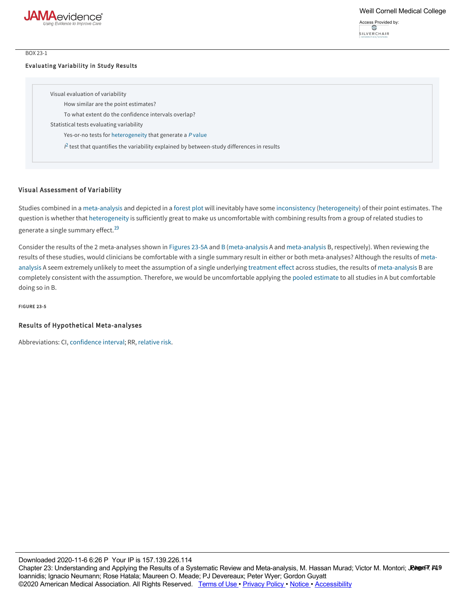

#### BOX 23-1

#### Evaluating Variability in Study Results

## Visual Assessment of Variability

Studies combined in a [meta-analysis](https://jamaevidence.mhmedical.com/glossary.aspx?gbosid=190201) and depicted in a [forest plot](https://jamaevidence.mhmedical.com/glossary.aspx?gbosid=190112) will inevitably have some [inconsistency](https://jamaevidence.mhmedical.com/glossary.aspx?gbosid=190146) ([heterogeneity](https://jamaevidence.mhmedical.com/glossary.aspx?gbosid=190134)) of their point estimates. The question is whether that [heterogeneity](https://jamaevidence.mhmedical.com/glossary.aspx?gbosid=190134) is sufficiently great to make us uncomfortable with combining results from a group of related studies to generate a single summary effect.<sup>[19](https://jamaevidence.mhmedical.com/#guyatt_ch23_bib19)</sup>

 $\frac{1}{\sqrt{N}}$  in summarizes  $\frac{1}{\sqrt{N}}$  and the subsequent discussion  $\frac{1}{\sqrt{N}}$  in studies.

Consider the results of the 2 meta-analyses shown in [Figures 23-5A](https://jamaevidence.mhmedical.com/#guyatt_ch23_fig5) and [B](https://jamaevidence.mhmedical.com/#guyatt_ch23_fig5) ([meta-analysis](https://jamaevidence.mhmedical.com/glossary.aspx?gbosid=190201) A and [meta-analysis](https://jamaevidence.mhmedical.com/glossary.aspx?gbosid=190201) B, respectively). When reviewing the [results of these studies, would clinicians be comfortable with a single summary result in either or both meta-analyses? Although the results of meta](https://jamaevidence.mhmedical.com/glossary.aspx?gbosid=190201)analysis A seem extremely unlikely to meet the assumption of a single underlying [treatment effect](https://jamaevidence.mhmedical.com/glossary.aspx?gbosid=190381) across studies, the results of [meta-analysis](https://jamaevidence.mhmedical.com/glossary.aspx?gbosid=190201) B are completely consistent with the assumption. Therefore, we would be uncomfortable applying the [pooled estimate](https://jamaevidence.mhmedical.com/glossary.aspx?gbosid=190263) to all studies in A but comfortable doing so in B.

#### FIGURE 23-5

### Results of Hypothetical Meta-analyses

Abbreviations: CI, [confidence interval](https://jamaevidence.mhmedical.com/glossary.aspx?gbosid=538774); RR, [relative risk.](https://jamaevidence.mhmedical.com/glossary.aspx?gbosid=190311)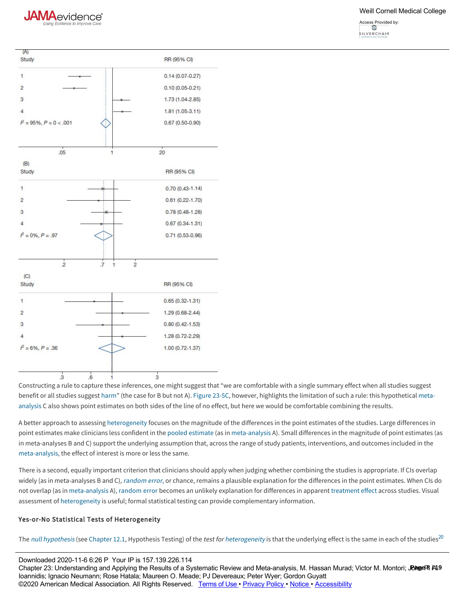

| (A)<br>Study                                          | RR (95% CI)         |  |
|-------------------------------------------------------|---------------------|--|
| 1                                                     | $0.14(0.07 - 0.27)$ |  |
| $\overline{2}$                                        | $0.10(0.05-0.21)$   |  |
| 3                                                     | 1.73 (1.04-2.85)    |  |
| $\overline{4}$                                        | $1.81(1.05-3.11)$   |  |
| $I^2 = 95\%, P = 0 < .001$                            | $0.67(0.50-0.90)$   |  |
| .05<br>1                                              | 20                  |  |
| (B)<br>Study                                          | RR (95% CI)         |  |
| 1                                                     | $0.70(0.43-1.14)$   |  |
| $\overline{2}$                                        | $0.61(0.22 - 1.70)$ |  |
| 3                                                     | $0.78(0.48-1.28)$   |  |
| $\overline{4}$                                        | $0.67(0.34-1.31)$   |  |
| $l^2 = 0\%, P = .97$                                  | $0.71(0.53 - 0.96)$ |  |
| $\frac{1}{7}$<br>$\frac{1}{2}$<br>$\overline{2}$<br>1 |                     |  |
| (C)<br>Study                                          | RR (95% CI)         |  |
| 1                                                     | $0.65(0.32 - 1.31)$ |  |
| $\overline{c}$                                        | $1.29(0.68-2.44)$   |  |
| 3                                                     | $0.80(0.42 - 1.53)$ |  |
| $\overline{4}$                                        | $1.28(0.72 - 2.29)$ |  |
| $I^2 = 6\%, P = .36$                                  | $1.00(0.72 - 1.37)$ |  |
| $\overline{a}$                                        | $\overline{a}$      |  |

Constructing a rule to capture these inferences, one might suggest that "we are comfortable with a single summary effect when all studies suggest [benefit or all studies suggest](https://jamaevidence.mhmedical.com/glossary.aspx?gbosid=190201) [harm](https://jamaevidence.mhmedical.com/glossary.aspx?gbosid=190126)[" \(the case for B but not A\). F](https://jamaevidence.mhmedical.com/glossary.aspx?gbosid=190201)[igure 23-5C](https://jamaevidence.mhmedical.com/#guyatt_ch23_fig5)[, however, highlights the limitation of such a rule: this hypothetical meta](https://jamaevidence.mhmedical.com/glossary.aspx?gbosid=190201)analysis C also shows point estimates on both sides of the line of no effect, but here we would be comfortable combining the results.

A better approach to assessing [heterogeneity](https://jamaevidence.mhmedical.com/glossary.aspx?gbosid=190134) focuses on the magnitude of the differences in the point estimates of the studies. Large differences in point estimates make clinicians less confident in the [pooled estimate](https://jamaevidence.mhmedical.com/glossary.aspx?gbosid=190263) (as in [meta-analysis](https://jamaevidence.mhmedical.com/glossary.aspx?gbosid=190201) A). Small differences in the magnitude of point estimates (as in meta-analyses B and C) support the underlying assumption that, across the range of study patients, interventions, and outcomes included in the [meta-analysis](https://jamaevidence.mhmedical.com/glossary.aspx?gbosid=190201), the effect of interest is more or less the same.

There is a second, equally important criterion that clinicians should apply when judging whether combining the studies is appropriate. If CIs overlap widely (as in meta-analyses B and C), [random error](https://jamaevidence.mhmedical.com/glossary.aspx?gbosid=190297), or chance, remains a plausible explanation for the differences in the point estimates. When CIs do not overlap (as in [meta-analysis](https://jamaevidence.mhmedical.com/glossary.aspx?gbosid=190201) A), [random error](https://jamaevidence.mhmedical.com/glossary.aspx?gbosid=190297) becomes an unlikely explanation for differences in apparent [treatment effect](https://jamaevidence.mhmedical.com/glossary.aspx?gbosid=190381) across studies. Visual assessment of [heterogeneity](https://jamaevidence.mhmedical.com/glossary.aspx?gbosid=190134) is useful; formal statistical testing can provide complementary information.

## Yes-or-No Statistical Tests of Heterogeneity

The [null hypothesis](https://jamaevidence.mhmedical.com/glossary.aspx?gbosid=190223) (see [Chapter 12.1,](https://jamaevidence.mhmedical.com/content.aspx?legacysectionid=Guyatt_ch12.1) Hypothesis Testing) of the test for [heterogeneity](https://jamaevidence.mhmedical.com/glossary.aspx?gbosid=190134) is that the underlying effect is the same in each of the studies<sup>[20](https://jamaevidence.mhmedical.com/#guyatt_ch23_bib20)</sup> (eg, the RR derived from study 1 is the same as that from study 1 is the same assumes that all of the apparent variability  $\alpha$ 

Downloaded 2020-11-6 6:26 P Your IP is 157.139.226.114 Chapter 23: Understanding and Applying the Results of a Systematic Review and Meta-analysis, M. Hassan Murad; Victor M. Montori; **JeageR At 9**<br>Learnidia Jaccele Naumann Rass Uctobe Marman O. Massler R.L.R. (www.comp Rates ©2020 American Medical Association. All Rights Reserved. <u>Terms of Use • [Privacy Policy](https://jamaevidence.mhmedical.com/privacy) • [Notice](https://jamaevidence.mhmedical.com/ss/notice.aspx) • [Accessibility](https://jamaevidence.mhmedical.com/about/accessibility.html)</u> Ioannidis; Ignacio Neumann; Rose Hatala; Maureen O. Meade; PJ Devereaux; Peter Wyer; Gordon Guyatt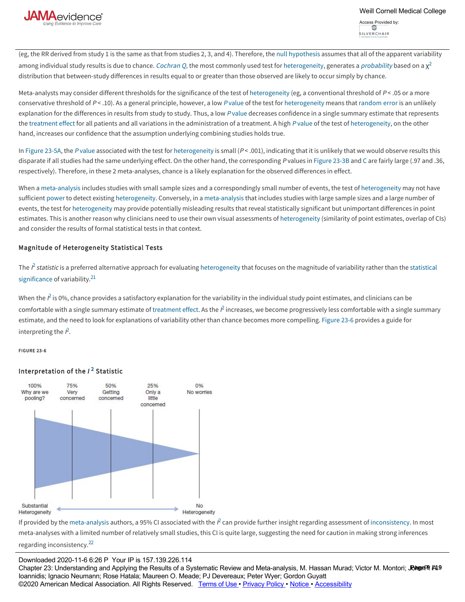

(eg, the RR derived from study 1 is the same as that from studies 2, 3, and 4). Therefore, the [null hypothesis](https://jamaevidence.mhmedical.com/glossary.aspx?gbosid=190223) assumes that all of the apparent variability among individual study results is due to chance. *[Cochran Q](https://jamaevidence.mhmedical.com/glossary.aspx?gbosid=190002)*, the most commonly used test for [heterogeneity](https://jamaevidence.mhmedical.com/glossary.aspx?gbosid=190134), generates a *[probability](https://jamaevidence.mhmedical.com/glossary.aspx?gbosid=190280)* based on a  $\chi^2$  $\chi^2$ distribution that between-study differences in results equal to or greater than those observed are likely to occur simply by chance.

Meta-analysts may consider different thresholds for the significance of the test of [heterogeneity](https://jamaevidence.mhmedical.com/glossary.aspx?gbosid=190134) (eg, a conventional threshold of  $P < 0.05$  or a more conservative threshold of P < .10). As a general principle, however, a low P [value](https://jamaevidence.mhmedical.com/glossary.aspx?gbosid=190287) of the test for [heterogeneity](https://jamaevidence.mhmedical.com/glossary.aspx?gbosid=190134) means that [random error](https://jamaevidence.mhmedical.com/glossary.aspx?gbosid=190297) is an unlikely explanation for the differences in results from study to study. Thus, a low P [value](https://jamaevidence.mhmedical.com/glossary.aspx?gbosid=190287) decreases confidence in a single summary estimate that represents the [treatment effect](https://jamaevidence.mhmedical.com/glossary.aspx?gbosid=190381) for all patients and all variations in the administration of a treatment. A high P [value](https://jamaevidence.mhmedical.com/glossary.aspx?gbosid=190287) of the test of [heterogeneity](https://jamaevidence.mhmedical.com/glossary.aspx?gbosid=190134), on the other hand, increases our confidence that the assumption underlying combining studies holds true.

In [Figure 23-5A](https://jamaevidence.mhmedical.com/#guyatt_ch23_fig5), the P [value](https://jamaevidence.mhmedical.com/glossary.aspx?gbosid=190287) associated with the test for [heterogeneity](https://jamaevidence.mhmedical.com/glossary.aspx?gbosid=190134) is small  $(P < .001)$ , indicating that it is unlikely that we would observe results this disparate if all studies had the same underlying effect. On the other hand, the corresponding P values in [Figure 23-3B](https://jamaevidence.mhmedical.com/#guyatt_ch23_fig3) and [C](https://jamaevidence.mhmedical.com/#guyatt_ch23_fig3) are fairly large (.97 and .36, respectively). Therefore, in these 2 meta-analyses, chance is a likely explanation for the observed differences in effect.

When a [meta-analysis](https://jamaevidence.mhmedical.com/glossary.aspx?gbosid=190201) includes studies with small sample sizes and a correspondingly small number of events, the test of [heterogeneity](https://jamaevidence.mhmedical.com/glossary.aspx?gbosid=190134) may not have sufficient [power](https://jamaevidence.mhmedical.com/glossary.aspx?gbosid=190268) to detect existing [heterogeneity.](https://jamaevidence.mhmedical.com/glossary.aspx?gbosid=190134) Conversely, in a [meta-analysis](https://jamaevidence.mhmedical.com/glossary.aspx?gbosid=190201) that includes studies with large sample sizes and a large number of events, the test for [heterogeneity](https://jamaevidence.mhmedical.com/glossary.aspx?gbosid=190134) may provide potentially misleading results that reveal statistically significant but unimportant differences in point estimates. This is another reason why clinicians need to use their own visual assessments of [heterogeneity](https://jamaevidence.mhmedical.com/glossary.aspx?gbosid=190134) (similarity of point estimates, overlap of CIs) and consider the results of formal statistical tests in that context.

## Magnitude of Heterogeneity Statistical Tests

The  $\hat{P}$  *statistic* [is a preferred alternative approach for evaluating heterogeneity that focuses on the magnitude of variability rather than the statistical](https://jamaevidence.mhmedical.com/glossary.aspx?gbosid=190347) significance of variability.<sup>[21](https://jamaevidence.mhmedical.com/#guyatt_ch23_bib21)</sup>

When the  $\hat{r}$  is 0%, chance provides a satisfactory explanation for the variability in the individual study point estimates, and clinicians can be comfortable with a single summary estimate of [treatment effect](https://jamaevidence.mhmedical.com/glossary.aspx?gbosid=190381). As the  $\hat{r}$  increases, we become progressively less comfortable with a single summary estimate, and the need to look for explanations of variability other than chance becomes more compelling. [Figure 23-6](https://jamaevidence.mhmedical.com/#guyatt_ch23_fig6) provides a guide for interpreting the  $l^2$  $l^2$ .

#### FIGURE 23-6

## Interpretation of the  $I^2$  $I^2$  Statistic



If provided by the [meta-analysis](https://jamaevidence.mhmedical.com/glossary.aspx?gbosid=190201) authors, a 95% CI associated with the  $\hat{P}$  can provide further insight regarding assessment of [inconsistency](https://jamaevidence.mhmedical.com/glossary.aspx?gbosid=190146). In most meta-analyses with a limited number of relatively small studies, this CI is quite large, suggesting the need for caution in making strong inferences

regarding inconsistency.<sup>[22](https://jamaevidence.mhmedical.com/#guyatt_ch23_bib22)</sup>

DOWNI08060 ZUZU-TT-0 0:Z0 P\_YOUFIP IS TO7.T39.ZZ0.TT4<br>Chapter 23: Understanding and Anglying the Results of a Cyclemetic Rayiaw and Meta anglysis. M. Useasn Myrad: Victor M. Marterix "BhasT 2 Downloaded 2020116 6:26 P Your IP is 157.139.226.114 Ioannidis; Ignacio Neumann; Rose Hatala; Maureen O. Meade; PJ Devereaux; Peter Wyer; Gordon Guyatt Chapter 23: Understanding and Applying the Results of a Systematic Review and Meta-analysis, M. Hassan Murad; Victor M. Montori; **Je<del>ageP</del> /A9** ©2020 American Medical Association. All Rights Reserved. [Terms of Use](https://jamaevidence.mhmedical.com/ss/terms.aspx) · [Privacy Policy](https://jamaevidence.mhmedical.com/privacy) · [Notice](https://jamaevidence.mhmedical.com/ss/notice.aspx) · [Accessibility](https://jamaevidence.mhmedical.com/about/accessibility.html)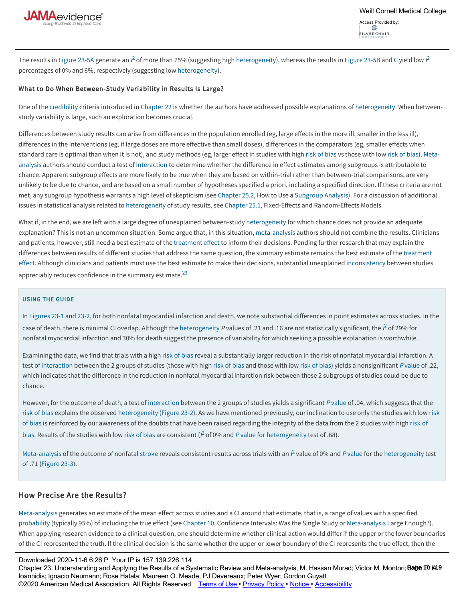

The results in [Figure 23-5A](https://jamaevidence.mhmedical.com/#guyatt_ch23_fig5) generate an  $\hat{r}$  of more than 75% (suggesting high heterogeneity), whereas the results in Figure [2](https://jamaevidence.mhmedical.com/#guyatt_ch23_bib2)3-5B and [C](https://jamaevidence.mhmedical.com/#guyatt_ch23_fig5) yield low  $\hat{r}$ percentages of 0% and 6%, respectively (suggesting low [heterogeneity](https://jamaevidence.mhmedical.com/glossary.aspx?gbosid=190134)).

### What to Do When Between-Study Variability in Results Is Large?

One of the [credibility](https://jamaevidence.mhmedical.com/glossary.aspx?gbosid=190043) criteria introduced in [Chapter 22](https://jamaevidence.mhmedical.com/content.aspx?legacysectionid=Guyatt_ch22) is whether the authors have addressed possible explanations of [heterogeneity](https://jamaevidence.mhmedical.com/glossary.aspx?gbosid=190134). When betweenstudy variability is large, such an exploration becomes crucial.

Differences between study results can arise from differences in the population enrolled (eg, large effects in the more ill, smaller in the less ill), differences in the interventions (eg, if large doses are more effective than small doses), differences in the comparators (eg, smaller effects when [standard care is optimal than when it is not\), and study methods \(eg, larger effect in studies with high risk of bias vs those with low risk of bias\). Meta](https://jamaevidence.mhmedical.com/glossary.aspx?gbosid=190201)analysis authors should conduct a test of [interaction](https://jamaevidence.mhmedical.com/glossary.aspx?gbosid=509002) to determine whether the difference in effect estimates among subgroups is attributable to chance. Apparent subgroup effects are more likely to be true when they are based on within-trial rather than between-trial comparisons, are very unlikely to be due to chance, and are based on a small number of hypotheses specified a priori, including a specified direction. If these criteria are not met, any subgroup hypothesis warrants a high level of skepticism (see [Chapter 25.2](https://jamaevidence.mhmedical.com/content.aspx?legacysectionid=Guyatt_ch25.2), How to Use a [Subgroup Analysis](https://jamaevidence.mhmedical.com/glossary.aspx?gbosid=190352)). For a discussion of additional issues in statistical analysis related to [heterogeneity](https://jamaevidence.mhmedical.com/glossary.aspx?gbosid=190134) of study results, see [Chapter 25.1](https://jamaevidence.mhmedical.com/content.aspx?legacysectionid=Guyatt_ch25), Fixed-Effects and Random-Effects Models.

What if, in the end, we are left with a large degree of unexplained between-study [heterogeneity](https://jamaevidence.mhmedical.com/glossary.aspx?gbosid=190134) for which chance does not provide an adequate explanation? This is not an uncommon situation. Some argue that, in this situation, [meta-analysis](https://jamaevidence.mhmedical.com/glossary.aspx?gbosid=190201) authors should not combine the results. Clinicians and patients, however, still need a best estimate of the [treatment effect](https://jamaevidence.mhmedical.com/glossary.aspx?gbosid=190381) to inform their decisions. Pending further research that may explain the [differences between results of different studies that address the same question, the summary estimate remains the best estimate of the treatment](https://jamaevidence.mhmedical.com/glossary.aspx?gbosid=190381) effect. Although clinicians and patients must use the best estimate to make their decisions, substantial unexplained [inconsistency](https://jamaevidence.mhmedical.com/glossary.aspx?gbosid=190146) between studies appreciably reduces confidence in the summary estimate. $^{23}$  $^{23}$  $^{23}$ 

#### USING THE GUIDE

In [Figures 23-1](https://jamaevidence.mhmedical.com/#guyatt_ch23_fig1) and [23-2](https://jamaevidence.mhmedical.com/#guyatt_ch23_fig2), for both nonfatal myocardial infarction and death, we note substantial differences in point estimates across studies. In the case of death, there is minimal CI overlap. Although the [heterogeneity](https://jamaevidence.mhmedical.com/glossary.aspx?gbosid=190134) *P* values of .[2](https://jamaevidence.mhmedical.com/#guyatt_ch23_bib2)1 and .16 are not statistically significant, the  $l^2$  of 29% for nonfatal myocardial infarction and 30% for death suggest the presence of variability for which seeking a possible explanation is worthwhile.

Examining the data, we find that trials with a high [risk of bias](https://jamaevidence.mhmedical.com/glossary.aspx?gbosid=190324) reveal a substantially larger reduction in the risk of nonfatal myocardial infarction. A test of [interaction](https://jamaevidence.mhmedical.com/glossary.aspx?gbosid=509002) between the 2 groups of studies (those with high [risk of bias](https://jamaevidence.mhmedical.com/glossary.aspx?gbosid=190324) and those with low [risk of bias](https://jamaevidence.mhmedical.com/glossary.aspx?gbosid=190324)) yields a nonsignificant P [value](https://jamaevidence.mhmedical.com/glossary.aspx?gbosid=190287) of .22, which indicates that the difference in the reduction in nonfatal myocardial infarction risk between these 2 subgroups of studies could be due to chance.

However, for the outcome of death, a test of [interaction](https://jamaevidence.mhmedical.com/glossary.aspx?gbosid=509002) between the 2 groups of studies yields a significant P [value](https://jamaevidence.mhmedical.com/glossary.aspx?gbosid=190287) of .04, which suggests that the [risk of bias explains the observed h](https://jamaevidence.mhmedical.com/glossary.aspx?gbosid=190324)[eterogeneit](https://jamaevidence.mhmedical.com/glossary.aspx?gbosid=190134)[y \(F](https://jamaevidence.mhmedical.com/glossary.aspx?gbosid=190324)[igure 23-2](https://jamaevidence.mhmedical.com/#guyatt_ch23_fig2)[\). As we have mentioned previously, our inclination to use only the studies with low risk](https://jamaevidence.mhmedical.com/glossary.aspx?gbosid=190324) [of bias is reinforced by our awareness of the doubts that have been raised regarding the integrity of the data from the 2 studies with high risk of](https://jamaevidence.mhmedical.com/glossary.aspx?gbosid=190324) bias. Results of the studies with low [risk of bias](https://jamaevidence.mhmedical.com/glossary.aspx?gbosid=190324) are consistent ( $\beta$  of 0% and Pvalue for [heterogeneity](https://jamaevidence.mhmedical.com/glossary.aspx?gbosid=190134) test of .68).

[Meta-analysis](https://jamaevidence.mhmedical.com/glossary.aspx?gbosid=190201) of the outcome of nonfatal [stroke](https://jamaevidence.mhmedical.com/glossary.aspx?gbosid=146567) reveals consistent results across trials with an  $\beta$  [value](https://jamaevidence.mhmedical.com/glossary.aspx?gbosid=190287) of 0% and *P* value for the [heterogeneity](https://jamaevidence.mhmedical.com/glossary.aspx?gbosid=190134) test of .71 ([Figure 23-3\)](https://jamaevidence.mhmedical.com/#guyatt_ch23_fig3).

## How Precise Are the Results?

[Meta-analysis](https://jamaevidence.mhmedical.com/glossary.aspx?gbosid=190201) generates an estimate of the mean effect across studies and a CI around that estimate, that is, a range of values with a specified [probability](https://jamaevidence.mhmedical.com/glossary.aspx?gbosid=190280) (typically 95%) of including the true effect (see [Chapter 10,](https://jamaevidence.mhmedical.com/content.aspx?legacysectionid=Guyatt_ch10) Confidence Intervals: Was the Single Study or [Meta-analysis](https://jamaevidence.mhmedical.com/glossary.aspx?gbosid=190201) Large Enough?). When applying research evidence to a clinical question, one should determine whether clinical action would differ if the upper or the lower boundaries of the CI represented the truth. If the clinical decision is the same whether the upper or lower boundary of the CI represents the true effect, then the

evidence is sufficiently precise. If across the range of the range of the CI values of the CI values of the CI<br>Downloaded 2020-11-6 6:26 P Your IP is 157.139.226.114 Chapter 23: Understanding and Applying the Results of a Systematic Review and Meta-analysis, M. Hassan Murad; Victor M. Montori;**Bage 10 /49**<br>Chapter 23: Understanding and Applying the Results of a Systematic Review and M Ioannidis; Ignacio Neumann; Rose Hatala; Maureen O. Meade; PJ Devereaux; Peter Wyer; Gordon Guyatt ©2020 American Medical Association. All Rights Reserved. [Terms of Use](https://jamaevidence.mhmedical.com/ss/terms.aspx) · [Privacy Policy](https://jamaevidence.mhmedical.com/privacy) · [Notice](https://jamaevidence.mhmedical.com/ss/notice.aspx) · [Accessibility](https://jamaevidence.mhmedical.com/about/accessibility.html)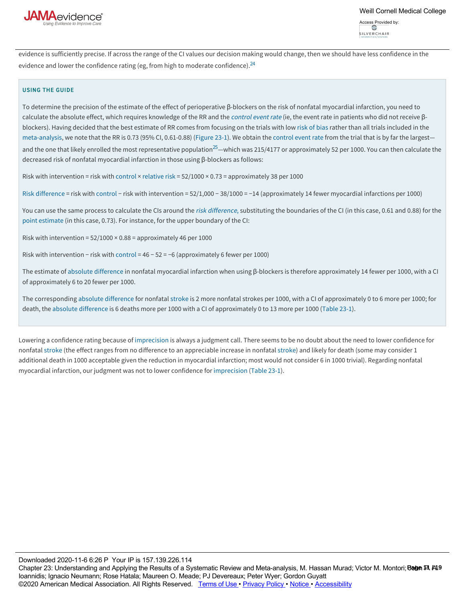

 $\frac{N}{N}$  and  $\frac{N}{N}$  and  $\frac{N}{N}$  action, one should determine when  $\frac{N}{N}$  action whenher  $\frac{N}{N}$ **Access Provided by** 

evidence is sufficiently precise. If across the range of the CI values our decision making would change, then we should have less confidence in the evidence and lower the confidence rating (eg, from high to moderate confidence).<sup>[24](https://jamaevidence.mhmedical.com/#guyatt_ch23_bib24)</sup>

## USING THE GUIDE

To determine the precision of the estimate of the effect of perioperative β-blockers on the risk of nonfatal myocardial infarction, you need to calculate the absolute effect, which requires knowledge of the RR and the [control event rate](https://jamaevidence.mhmedical.com/glossary.aspx?gbosid=190026) (ie, the event rate in patients who did not receive βblockers). Having decided that the best estimate of RR comes from focusing on the trials with low [risk of bias](https://jamaevidence.mhmedical.com/glossary.aspx?gbosid=190324) rather than all trials included in the [meta-analysis](https://jamaevidence.mhmedical.com/glossary.aspx?gbosid=190201), we note that the RR is 0.73 (95% CI, 0.61-0.88) [\(Figure 23-1](https://jamaevidence.mhmedical.com/#guyatt_ch23_fig1)). We obtain the [control event rate](https://jamaevidence.mhmedical.com/glossary.aspx?gbosid=190026) from the trial that is by far the largest— and the one that likely enrolled the most representative population<sup>[25](https://jamaevidence.mhmedical.com/#guyatt_ch23_bib25)</sup>—which was 215/4177 or approximately 52 per 1000. You can then calculate the decreased risk of nonfatal myocardial infarction in those using β-blockers as follows:

Risk with intervention = risk with [control](https://jamaevidence.mhmedical.com/glossary.aspx?gbosid=508969)  $\times$  [relative risk](https://jamaevidence.mhmedical.com/glossary.aspx?gbosid=190311) = 52/1000  $\times$  0.73 = approximately 38 per 1000

[Risk difference](https://jamaevidence.mhmedical.com/glossary.aspx?gbosid=190322) = risk with [control](https://jamaevidence.mhmedical.com/glossary.aspx?gbosid=508969) − risk with intervention = 52/1,000 − 38/1000 = −14 (approximately 14 fewer myocardial infarctions per 1000)

You can use the same process to calculate the CIs around the [risk difference](https://jamaevidence.mhmedical.com/glossary.aspx?gbosid=190322), substituting the boundaries of the CI (in this case, 0.61 and 0.88) for the [point estimate](https://jamaevidence.mhmedical.com/glossary.aspx?gbosid=190261) (in this case, 0.73). For instance, for the upper boundary of the CI:

Risk with intervention =  $52/1000 \times 0.88$  = approximately 46 per 1000

Risk with intervention − risk with [control](https://jamaevidence.mhmedical.com/glossary.aspx?gbosid=508969) = 46 - 52 = -6 (approximately 6 fewer per 1000)

The estimate of [absolute difference](https://jamaevidence.mhmedical.com/glossary.aspx?gbosid=189947) in nonfatal myocardial infarction when using β-blockers is therefore approximately 14 fewer per 1000, with a CI of approximately 6 to 20 fewer per 1000.

The corresponding [absolute difference](https://jamaevidence.mhmedical.com/glossary.aspx?gbosid=189947) for nonfatal [stroke](https://jamaevidence.mhmedical.com/glossary.aspx?gbosid=146567) is 2 more nonfatal strokes per 1000, with a CI of approximately 0 to 6 more per 1000; for death, the [absolute difference](https://jamaevidence.mhmedical.com/glossary.aspx?gbosid=189947) is 6 deaths more per 1000 with a CI of approximately 0 to 13 more per 1000 [\(Table 23-1\)](https://jamaevidence.mhmedical.com/#guyatt_ch23_tbl1).

Lowering a confidence rating because of [imprecision](https://jamaevidence.mhmedical.com/glossary.aspx?gbosid=190142) is always a judgment call. There seems to be no doubt about the need to lower confidence for nonfatal [stroke](https://jamaevidence.mhmedical.com/glossary.aspx?gbosid=146567) (the effect ranges from no difference to an appreciable increase in nonfatal [stroke\)](https://jamaevidence.mhmedical.com/glossary.aspx?gbosid=146567) and likely for death (some may consider 1 additional death in 1000 acceptable given the reduction in myocardial infarction; most would not consider 6 in 1000 trivial). Regarding nonfatal myocardial infarction, our judgment was not to lower confidence for [imprecision](https://jamaevidence.mhmedical.com/glossary.aspx?gbosid=190142) ([Table 23-1\)](https://jamaevidence.mhmedical.com/#guyatt_ch23_tbl1).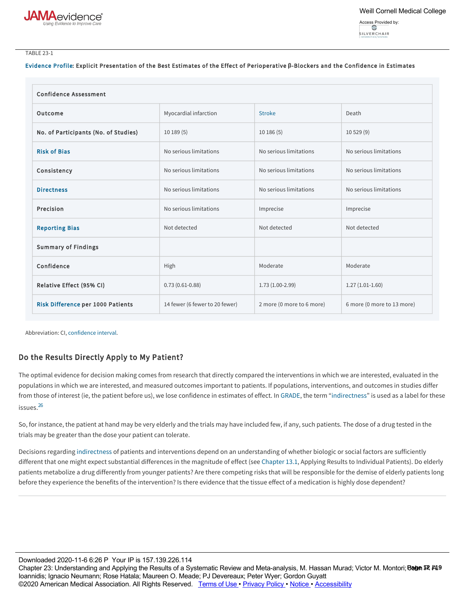

#### TABLE 23-1

### [Evidence Profile](https://jamaevidence.mhmedical.com/glossary.aspx?gbosid=190094): Explicit Presentation of the Best Estimates of the Effect of Perioperative **β**-Blockers and the Confidence in Estimates

| <b>Confidence Assessment</b>             |                                |                           |                            |  |
|------------------------------------------|--------------------------------|---------------------------|----------------------------|--|
| Outcome                                  | Myocardial infarction          | <b>Stroke</b>             | Death                      |  |
| No. of Participants (No. of Studies)     | 10 189 (5)                     | 10 186 (5)                | 10 529 (9)                 |  |
| <b>Risk of Bias</b>                      | No serious limitations         | No serious limitations    | No serious limitations     |  |
| Consistency                              | No serious limitations         | No serious limitations    | No serious limitations     |  |
| <b>Directness</b>                        | No serious limitations         | No serious limitations    | No serious limitations     |  |
| Precision                                | No serious limitations         | Imprecise                 | Imprecise                  |  |
| <b>Reporting Bias</b>                    | Not detected                   | Not detected              | Not detected               |  |
| <b>Summary of Findings</b>               |                                |                           |                            |  |
| Confidence                               | High                           | Moderate                  | Moderate                   |  |
| Relative Effect (95% CI)                 | $0.73(0.61 - 0.88)$            | $1.73(1.00-2.99)$         | $1.27(1.01-1.60)$          |  |
| <b>Risk Difference per 1000 Patients</b> | 14 fewer (6 fewer to 20 fewer) | 2 more (0 more to 6 more) | 6 more (0 more to 13 more) |  |

Abbreviation: CI, [confidence interval.](https://jamaevidence.mhmedical.com/glossary.aspx?gbosid=538774)

## Do the Results Directly Apply to My Patient?

The optimal evidence for decision making comes from research that directly compared the interventions in which we are interested, evaluated in the populations in which we are interested, and measured outcomes important to patients. If populations, interventions, and outcomes in studies differ from those of interest (ie, the patient before us), we lose confidence in estimates of effect. In [GRADE](https://jamaevidence.mhmedical.com/glossary.aspx?gbosid=190123), the term "[indirectness](https://jamaevidence.mhmedical.com/glossary.aspx?gbosid=190154)" is used as a label for these issues.<sup>[26](https://jamaevidence.mhmedical.com/#guyatt_ch23_bib26)</sup>

So, for instance, the patient at hand may be very elderly and the trials may have included few, if any, such patients. The dose of a drug tested in the trials may be greater than the dose your patient can tolerate.

Decisions regarding [indirectness](https://jamaevidence.mhmedical.com/glossary.aspx?gbosid=190154) of patients and interventions depend on an understanding of whether biologic or social factors are sufficiently different that one might expect substantial differences in the magnitude of effect (see [Chapter 13.1](https://jamaevidence.mhmedical.com/content.aspx?legacysectionid=Guyatt_ch13), Applying Results to Individual Patients). Do elderly patients metabolize a drug differently from younger patients? Are there competing risks that will be responsible for the demise of elderly patients long before they experience the benefits of the intervention? Is there evidence that the tissue effect of a medication is highly dose dependent?

Downloaded 2020-11-6 6:26 P Your IP is 157.139.226.114

Chapter 23: Understanding and Applying the Results of a Systematic Review and Meta-analysis, M. Hassan Murad; Victor M. Montori; **Bage 12 /49** Ioannidis; Ignacio Neumann; Rose Hatala; Maureen O. Meade; PJ Devereaux; Peter Wyer; Gordon Guyatt ©2020 American Medical Association. All Rights Reserved. <u>Terms of Use • [Privacy Policy](https://jamaevidence.mhmedical.com/privacy) • [Notice](https://jamaevidence.mhmedical.com/ss/notice.aspx) • [Accessibility](https://jamaevidence.mhmedical.com/about/accessibility.html)</u>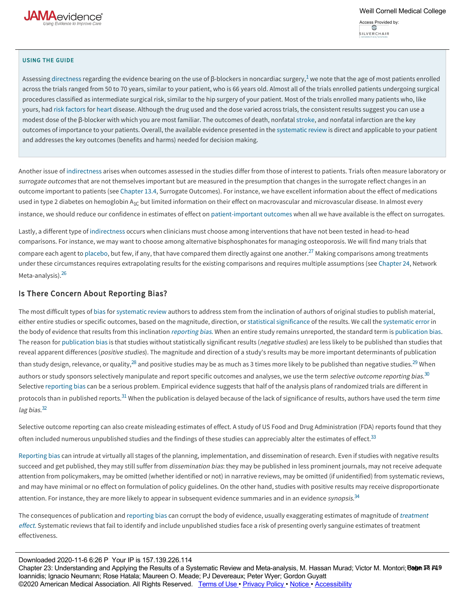

 $\mathcal{D}$  because of patients and interventions on an understanding on an understanding or social factors are sufficiently or social factors are sufficiently are sufficiently are sufficiently are sufficiently are sufficien patients metabolize a drug different patients metabolize a drug different patients of the demonstration of the demonstration of the demonstration of elderly patients longer patients longer patients longer patients longer p Weill Cornell Medical College Access Provided by:

### USING THE GUIDE

Assessing [directness](https://jamaevidence.mhmedical.com/glossary.aspx?gbosid=190065) regarding the evidence bearing on the use of β-blockers in noncardiac surgery, $^1$  $^1$  we note that the age of most patients enrolled across the trials ranged from 50 to 70 years, similar to your patient, who is 66 years old. Almost all of the trials enrolled patients undergoing surgical procedures classified as intermediate surgical risk, similar to the hip surgery of your patient. Most of the trials enrolled many patients who, like yours, had [risk factors](https://jamaevidence.mhmedical.com/glossary.aspx?gbosid=190323) for [heart](https://jamaevidence.mhmedical.com/glossary.aspx?gbosid=247085) disease. Although the drug used and the dose varied across trials, the consistent results suggest you can use a modest dose of the β-blocker with which you are most familiar. The outcomes of death, nonfatal [stroke](https://jamaevidence.mhmedical.com/glossary.aspx?gbosid=146567), and nonfatal infarction are the key outcomes of importance to your patients. Overall, the available evidence presented in the [systematic review](https://jamaevidence.mhmedical.com/glossary.aspx?gbosid=190366) is direct and applicable to your patient and addresses the key outcomes (benefits and harms) needed for decision making.

 $\frac{1}{n}$  before the intervention? Is the time that the time time that the time time time is  $\frac{1}{n}$  medication is not a medication is not a medication is not a medication is not a medication is not a medication is not

Another issue of [indirectness](https://jamaevidence.mhmedical.com/glossary.aspx?gbosid=190154) arises when outcomes assessed in the studies differ from those of interest to patients. Trials often measure laboratory or surrogate outcomes that are not themselves important but are measured in the presumption that changes in the surrogate reflect changes in an outcome important to patients (see [Chapter 13.4](https://jamaevidence.mhmedical.com/content.aspx?legacysectionid=Guyatt_ch13.4), Surrogate Outcomes). For instance, we have excellent information about the effect of medications used in type 2 diabetes on hemoglobin  $A_{1C}$  but limited information on their effect on macrovascular and microvascular disease. In almost every instance, we should reduce our confidence in estimates of effect on [patient-important outcomes](https://jamaevidence.mhmedical.com/glossary.aspx?gbosid=190243) when all we have available is the effect on surrogates.

Lastly, a different type of [indirectness](https://jamaevidence.mhmedical.com/glossary.aspx?gbosid=190154) occurs when clinicians must choose among interventions that have not been tested in head-to-head comparisons. For instance, we may want to choose among alternative bisphosphonates for managing osteoporosis. We will find many trials that compare each agent to [placebo,](https://jamaevidence.mhmedical.com/glossary.aspx?gbosid=190259) but few, if any, that have compared them directly against one another.<sup>[27](https://jamaevidence.mhmedical.com/#guyatt_ch23_bib27)</sup> Making comparisons among treatments under these circumstances requires extrapolating results for the existing comparisons and requires multiple assumptions (see [Chapter 24](https://jamaevidence.mhmedical.com/content.aspx?legacysectionid=Guyatt_ch24), Network Meta-analysis).<sup>[26](https://jamaevidence.mhmedical.com/#guyatt_ch23_bib26)</sup>

## Is There Concern About Reporting Bias?

The most difficult types of [bias](https://jamaevidence.mhmedical.com/glossary.aspx?gbosid=189973) for [systematic review](https://jamaevidence.mhmedical.com/glossary.aspx?gbosid=190366) authors to address stem from the inclination of authors of original studies to publish material, either entire studies or specific outcomes, based on the magnitude, direction, or [statistical significance](https://jamaevidence.mhmedical.com/glossary.aspx?gbosid=190347) of the results. We call the [systematic error](https://jamaevidence.mhmedical.com/glossary.aspx?gbosid=190365) in the body of evidence that results from this inclination [reporting bias](https://jamaevidence.mhmedical.com/glossary.aspx?gbosid=190316). When an entire study remains unreported, the standard term is [publication bias.](https://jamaevidence.mhmedical.com/glossary.aspx?gbosid=190285) The reason for [publication bias](https://jamaevidence.mhmedical.com/glossary.aspx?gbosid=190285) is that studies without statistically significant results (negative studies) are less likely to be published than studies that reveal apparent differences (positive studies). The magnitude and direction of a study's results may be more important determinants of publication than study design, relevance, or quality,<sup>[28](https://jamaevidence.mhmedical.com/#guyatt_ch23_bib28)</sup> and positive studies may be as much as 3 times more likely to be published than negative studies.<sup>[29](https://jamaevidence.mhmedical.com/#guyatt_ch23_bib29)</sup> When authors or study sponsors selectively manipulate and report specific outcomes and analyses, we use the term *selective outcome reporting bias*. $^{\rm 30}$  $^{\rm 30}$  $^{\rm 30}$ Selective [reporting bias](https://jamaevidence.mhmedical.com/glossary.aspx?gbosid=190316) can be a serious problem. Empirical evidence suggests that half of the analysis plans of randomized trials are different in protocols than in published reports.<sup>[31](https://jamaevidence.mhmedical.com/#guyatt_ch23_bib31)</sup> When the publication is delayed because of the lack of significance of results, authors have used the term time lag bias.<sup>[32](https://jamaevidence.mhmedical.com/#guyatt_ch23_bib32)</sup>

Selective outcome reporting can also create misleading estimates of effect. A study of US Food and Drug Administration (FDA) reports found that they often included numerous unpublished studies and the findings of these studies can appreciably alter the estimates of effect.<sup>[33](https://jamaevidence.mhmedical.com/#guyatt_ch23_bib33)</sup>

[Reporting bias](https://jamaevidence.mhmedical.com/glossary.aspx?gbosid=190316) can intrude at virtually all stages of the planning, implementation, and dissemination of research. Even if studies with negative results succeed and get published, they may still suffer from dissemination bias: they may be published in less prominent journals, may not receive adequate attention from policymakers, may be omitted (whether identified or not) in narrative reviews, may be omitted (if unidentified) from systematic reviews, and may have minimal or no effect on formulation of policy guidelines. On the other hand, studies with positive results may receive disproportionate attention. For instance, they are more likely to appear in subsequent evidence summaries and in an evidence *synopsis.<sup>[34](https://jamaevidence.mhmedical.com/#guyatt_ch23_bib34)</sup>* 

[The co](https://jamaevidence.mhmedical.com/glossary.aspx?gbosid=190381)nsequences of publication and [reporting bias](https://jamaevidence.mhmedical.com/glossary.aspx?gbosid=190316) can corrupt the body of evidence, usually exaggerating estimates of magnitude of treatment effect. Systematic reviews that fail to identify and include unpublished studies face a risk of presenting overly sanguine estimates of treatment effectiveness.

The risk of publication bias is probably higher for systematic reviews and meta-analyses that are based on small studies. Small studies are more likely Downloaded 2020-11-0 0.20 P= Toul IP is Tor.109.220.114<br>Chapter 23: Understanding and Applying the Results of a Systematic Review and Meta-analysis, M. Hassan Murad; Victor M. Montori;**Bage 13 /49** Ioannidis; Ignacio Neumann; Rose Hatala; Maureen O. Meade; PJ Devereaux; Peter Wyer; Gordon Guyatt ©2020 American Medical Association. All Rights Reserved. <u>Terms of Use • [Privacy Policy](https://jamaevidence.mhmedical.com/privacy) • [Notice](https://jamaevidence.mhmedical.com/ss/notice.aspx) • [Accessibility](https://jamaevidence.mhmedical.com/about/accessibility.html)</u> Downloaded 2020-11-6 6:26 P Your IP is 157.139.226.114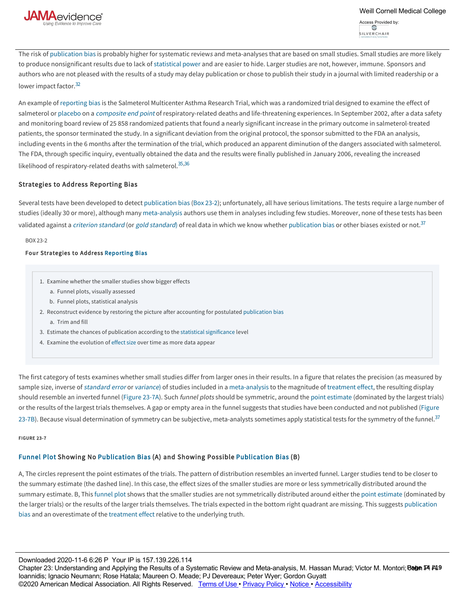

The risk of [publication bias](https://jamaevidence.mhmedical.com/glossary.aspx?gbosid=190285) is probably higher for systematic reviews and meta-analyses that are based on small studies. Small studies are more likely to produce nonsignificant results due to lack of [statistical power](https://jamaevidence.mhmedical.com/glossary.aspx?gbosid=508939) and are easier to hide. Larger studies are not, however, immune. Sponsors and authors who are not pleased with the results of a study may delay publication or chose to publish their study in a journal with limited readership or a lower impact factor.<sup>[32](https://jamaevidence.mhmedical.com/#guyatt_ch23_bib32)</sup>

An example of [reporting bias](https://jamaevidence.mhmedical.com/glossary.aspx?gbosid=190316) is the Salmeterol Multicenter Asthma Research Trial, which was a randomized trial designed to examine the effect of salmeterol or [placebo](https://jamaevidence.mhmedical.com/glossary.aspx?gbosid=190259) on a [composite end point](https://jamaevidence.mhmedical.com/glossary.aspx?gbosid=190010) of respiratory-related deaths and life-threatening experiences. In September 2002, after a data safety and monitoring board review of 25 858 randomized patients that found a nearly significant increase in the primary outcome in salmeterol-treated patients, the sponsor terminated the study. In a significant deviation from the original protocol, the sponsor submitted to the FDA an analysis, including events in the 6 months after the termination of the trial, which produced an apparent diminution of the dangers associated with salmeterol. The FDA, through specific inquiry, eventually obtained the data and the results were finally published in January 2006, revealing the increased likelihood of respiratory-related deaths with salmeterol.  $35,36$  $35,36$ 

## Strategies to Address Reporting Bias

Several tests have been developed to detect [publication bias](https://jamaevidence.mhmedical.com/glossary.aspx?gbosid=190285) ([Box 23-2](https://jamaevidence.mhmedical.com/#guyatt_ch23_tbl02)); unfortunately, all have serious limitations. The tests require a large number of studies (ideally 30 or more), although many [meta-analysis](https://jamaevidence.mhmedical.com/glossary.aspx?gbosid=190201) authors use them in analyses including few studies. Moreover, none of these tests has been validated against a [criterion standard](https://jamaevidence.mhmedical.com/glossary.aspx?gbosid=190045) (or [gold standard](https://jamaevidence.mhmedical.com/glossary.aspx?gbosid=190122)) of real data in which we know whether [publication bias](https://jamaevidence.mhmedical.com/glossary.aspx?gbosid=190285) or other biases existed or not.<sup>[37](https://jamaevidence.mhmedical.com/#guyatt_ch23_bib37)</sup>

#### BOX 23-2

#### Four Strategies to Address [Reporting Bias](https://jamaevidence.mhmedical.com/glossary.aspx?gbosid=190316)

- 1. Examine whether the smaller studies show bigger effects
	- a. Funnel plots, visually assessed
	- b. Funnel plots, statistical analysis
- 2. Reconstruct evidence by restoring the picture after accounting for postulated [publication bias](https://jamaevidence.mhmedical.com/glossary.aspx?gbosid=190285)
	- a. Trim and fill
- 3. Estimate the chances of publication according to the [statistical significance](https://jamaevidence.mhmedical.com/glossary.aspx?gbosid=190347) level
- 4. Examine the evolution of [effect size](https://jamaevidence.mhmedical.com/glossary.aspx?gbosid=190080) over time as more data appear

The first category of tests examines whether small studies differ from larger ones in their results. In a figure that relates the precision (as measured by sample size, inverse of *[standard error](https://jamaevidence.mhmedical.com/glossary.aspx?gbosid=190343)* or *[variance](https://jamaevidence.mhmedical.com/glossary.aspx?gbosid=190405)*) of studies included in a [meta-analysis](https://jamaevidence.mhmedical.com/glossary.aspx?gbosid=190201) to the magnitude of [treatment effect](https://jamaevidence.mhmedical.com/glossary.aspx?gbosid=190381), the resulting display should resemble an inverted funnel [\(Figure 23-7A](https://jamaevidence.mhmedical.com/#guyatt_ch23_fig7)). Such funnel plots should be symmetric, around the [point estimate](https://jamaevidence.mhmedical.com/glossary.aspx?gbosid=190261) (dominated by the largest trials) [or the results of the largest trials themselves. A gap or empty area in the funnel suggests that studies have been conducted and not published \(Figure](https://jamaevidence.mhmedical.com/#guyatt_ch23_fig7) 23-7B). Because visual determination of symmetry can be subjective, meta-analysts sometimes apply statistical tests for the symmetry of the funnel.<sup>[37](https://jamaevidence.mhmedical.com/#guyatt_ch23_bib37)</sup>

#### FIGURE 23-7

#### [Funnel Plot](https://jamaevidence.mhmedical.com/glossary.aspx?gbosid=190114) Showing No [Publication Bias](https://jamaevidence.mhmedical.com/glossary.aspx?gbosid=190285) (A) and Showing Possible [Publication Bias](https://jamaevidence.mhmedical.com/glossary.aspx?gbosid=190285) (B)

A, The circles represent the point estimates of the trials. The pattern of distribution resembles an inverted funnel. Larger studies tend to be closer to the summary estimate (the dashed line). In this case, the effect sizes of the smaller studies are more or less symmetrically distributed around the summary estimate. B, This [funnel plot](https://jamaevidence.mhmedical.com/glossary.aspx?gbosid=190114) shows that the smaller studies are not symmetrically distributed around either the [point estimate](https://jamaevidence.mhmedical.com/glossary.aspx?gbosid=190261) (dominated by [the larger trials\) or the results of the larger trials themselves. The trials expected in the bottom right quadrant are missing. This suggests publication](https://jamaevidence.mhmedical.com/glossary.aspx?gbosid=190285) bias and an overestimate of the [treatment effect](https://jamaevidence.mhmedical.com/glossary.aspx?gbosid=190381) relative to the underlying truth.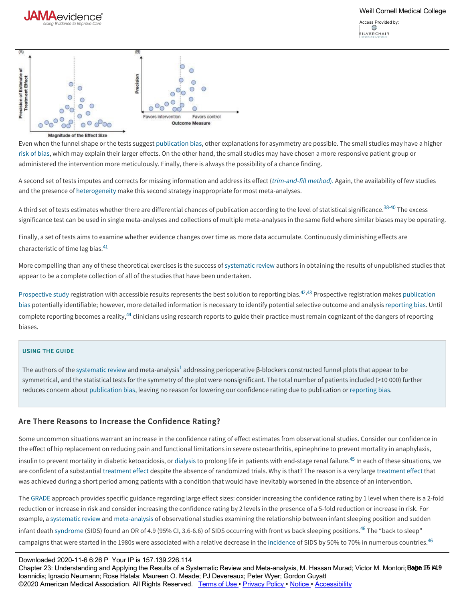



#### Magnitude of the Effect Size

Even when the funnel shape or the tests suggest [publication bias,](https://jamaevidence.mhmedical.com/glossary.aspx?gbosid=190285) other explanations for asymmetry are possible. The small studies may have a higher [risk of bias](https://jamaevidence.mhmedical.com/glossary.aspx?gbosid=190324), which may explain their larger effects. On the other hand, the small studies may have chosen a more responsive patient group or administered the intervention more meticulously. Finally, there is always the possibility of a chance finding.

A second set of tests imputes and corrects for missing information and address its effect (*[trim-and-fill method](https://jamaevidence.mhmedical.com/glossary.aspx?gbosid=190386)*). Again, the availability of few studies and the presence of [heterogeneity](https://jamaevidence.mhmedical.com/glossary.aspx?gbosid=190134) make this second strategy inappropriate for most meta-analyses.

A third set of tests estimates whether there are differential chances of publication according to the level of statistical significance.<sup>[38-40](https://jamaevidence.mhmedical.com/#guyatt_ch23_bib38)</sup> The excess significance test can be used in single meta-analyses and collections of multiple meta-analyses in the same field where similar biases may be operating.

Finally, a set of tests aims to examine whether evidence changes over time as more data accumulate. Continuously diminishing effects are characteristic of time lag bias.[41](https://jamaevidence.mhmedical.com/#guyatt_ch23_bib41)

More compelling than any of these theoretical exercises is the success of [systematic review](https://jamaevidence.mhmedical.com/glossary.aspx?gbosid=190366) authors in obtaining the results of unpublished studies that appear to be a complete collection of all of the studies that have been undertaken.

[Prospective study](https://jamaevidence.mhmedical.com/glossary.aspx?gbosid=190284) registration with accessible results represents the best solution to reporting bias.<sup>[42](https://jamaevidence.mhmedical.com/#guyatt_ch23_bib42)[,43](https://jamaevidence.mhmedical.com/#guyatt_ch23_bib43)</sup> Prospective registration makes publication [bias potentially identifiable; however, more detailed information is necessary to identify potential selective outcome and analysis reporting bias. Un](https://jamaevidence.mhmedical.com/glossary.aspx?gbosid=190285)til complete reporting becomes a reality,<sup>[44](https://jamaevidence.mhmedical.com/#guyatt_ch23_bib44)</sup> clinicians using research reports to guide their practice must remain cognizant of the dangers of reporting biases.

## USING THE GUIDE

The authors of the [systematic review](https://jamaevidence.mhmedical.com/glossary.aspx?gbosid=190366) and meta-analysis $^1$  $^1$  addressing perioperative β-blockers constructed funnel plots that appear to be symmetrical, and the statistical tests for the symmetry of the plot were nonsignificant. The total number of patients included (>10 000) further reduces concern about [publication bias](https://jamaevidence.mhmedical.com/glossary.aspx?gbosid=190285), leaving no reason for lowering our confidence rating due to publication or [reporting bias.](https://jamaevidence.mhmedical.com/glossary.aspx?gbosid=190316)

## Are There Reasons to Increase the Confidence Rating?

Some uncommon situations warrant an increase in the confidence rating of effect estimates from observational studies. Consider our confidence in the effect of hip replacement on reducing pain and functional limitations in severe osteoarthritis, epinephrine to prevent mortality in anaphylaxis, insulin to prevent mortality in diabetic ketoacidosis, or [dialysis](https://jamaevidence.mhmedical.com/glossary.aspx?gbosid=146367) to prolong life in patients with end-stage renal failure.<sup>[45](https://jamaevidence.mhmedical.com/#guyatt_ch23_bib45)</sup> In each of these situations, we are confident of a substantial [treatment effect](https://jamaevidence.mhmedical.com/glossary.aspx?gbosid=190381) despite the absence of randomized trials. Why is that? The reason is a very large [treatment effect](https://jamaevidence.mhmedical.com/glossary.aspx?gbosid=190381) that was achieved during a short period among patients with a condition that would have inevitably worsened in the absence of an intervention.

The [GRADE](https://jamaevidence.mhmedical.com/glossary.aspx?gbosid=190123) approach provides specific guidance regarding large effect sizes: consider increasing the confidence rating by 1 level when there is a 2-fold reduction or increase in risk and consider increasing the confidence rating by 2 levels in the presence of a 5-fold reduction or increase in risk. For example, a [systematic review](https://jamaevidence.mhmedical.com/glossary.aspx?gbosid=190366) and [meta-analysis](https://jamaevidence.mhmedical.com/glossary.aspx?gbosid=190201) of observational studies examining the relationship between infant sleeping position and sudden infant death [syndrome](https://jamaevidence.mhmedical.com/glossary.aspx?gbosid=190362) (SIDS) found an OR of 4.9 (95% CI, 3.6-6.6) of SIDS occurring with front vs back sleeping positions.<sup>[46](https://jamaevidence.mhmedical.com/#guyatt_ch23_bib46)</sup> The "back to sleep" campaigns that were started in the 1980s were associated with a relative decrease in the [incidence](https://jamaevidence.mhmedical.com/glossary.aspx?gbosid=190143) of SIDS by 50% to 70% in numerous countries.<sup>[46](https://jamaevidence.mhmedical.com/#guyatt_ch23_bib46)</sup>

This large effect increases our confidence in a true association.<sup>45</sup> Downloaded 2020116 6:26 P Your IP is 157.139.226.114 Ioannidis; Ignacio Neumann; Rose Hatala; Maureen O. Meade; PJ Devereaux; Peter Wyer; Gordon Guyatt Chapter 23: Understanding and Applying the Results of a Systematic Review and Meta-analysis, M. Hassan Murad; Victor M. Montori;**Bege 15 /49** ©2020 American Medical Association. All Rights Reserved. [Terms of Use](https://jamaevidence.mhmedical.com/ss/terms.aspx) · [Privacy Policy](https://jamaevidence.mhmedical.com/privacy) · [Notice](https://jamaevidence.mhmedical.com/ss/notice.aspx) · [Accessibility](https://jamaevidence.mhmedical.com/about/accessibility.html)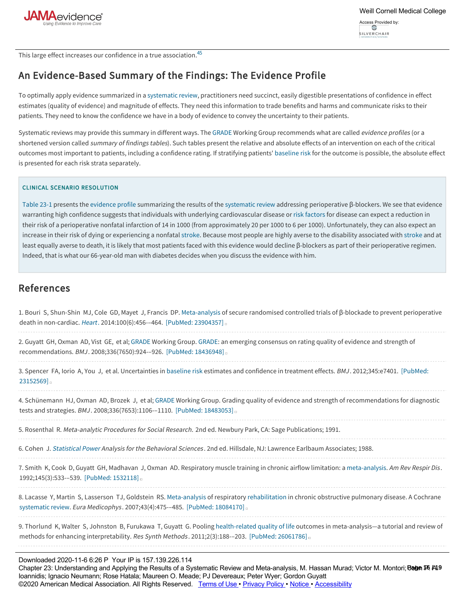

This large effect increases our confidence in a true association.<sup>[45](https://jamaevidence.mhmedical.com/#guyatt_ch23_bib45)</sup>

# An Evidence-Based Summary of the Findings: The Evidence Profile

To optimally apply evidence summarized in a [systematic review](https://jamaevidence.mhmedical.com/glossary.aspx?gbosid=190366), practitioners need succinct, easily digestible presentations of confidence in effect estimates (quality of evidence) and magnitude of effects. They need this information to trade benefits and harms and communicate risks to their patients. They need to know the confidence we have in a body of evidence to convey the uncertainty to their patients.

Systematic reviews may provide this summary in different ways. The [GRADE](https://jamaevidence.mhmedical.com/glossary.aspx?gbosid=190123) Working Group recommends what are called evidence profiles (or a shortened version called summary of findings tables). Such tables present the relative and absolute effects of an intervention on each of the critical outcomes most important to patients, including a confidence rating. If stratifying patients' [baseline risk](https://jamaevidence.mhmedical.com/glossary.aspx?gbosid=189968) for the outcome is possible, the absolute effect is presented for each risk strata separately.

### CLINICAL SCENARIO RESOLUTION

[Table 23-1](https://jamaevidence.mhmedical.com/#guyatt_ch23_tbl1) presents the [evidence profile](https://jamaevidence.mhmedical.com/glossary.aspx?gbosid=190094) summarizing the results of the [systematic review](https://jamaevidence.mhmedical.com/glossary.aspx?gbosid=190366) addressing perioperative β-blockers. We see that evidence warranting high confidence suggests that individuals with underlying cardiovascular disease or [risk factors](https://jamaevidence.mhmedical.com/glossary.aspx?gbosid=190323) for disease can expect a reduction in their risk of a perioperative nonfatal infarction of 14 in 1000 (from approximately 20 per 1000 to 6 per 1000). Unfortunately, they can also expect an increase in their risk of dying or experiencing a nonfatal [stroke.](https://jamaevidence.mhmedical.com/glossary.aspx?gbosid=146567) Because most people are highly averse to the disability associated with [stroke](https://jamaevidence.mhmedical.com/glossary.aspx?gbosid=146567) and at least equally averse to death, it is likely that most patients faced with this evidence would decline β-blockers as part of their perioperative regimen. Indeed, that is what our 66-year-old man with diabetes decides when you discuss the evidence with him.

# References

| 1. Bouri S, Shun-Shin MJ, Cole GD, Mayet J, Francis DP. Meta-analysis of secure randomised controlled trials of β-blockade to prevent perioperative<br>death in non-cardiac. Heart. 2014:100(6):456--464. [PubMed: 23904357]                                     |
|------------------------------------------------------------------------------------------------------------------------------------------------------------------------------------------------------------------------------------------------------------------|
| 2. Guyatt GH, Oxman AD, Vist GE, et al; GRADE Working Group. GRADE: an emerging consensus on rating quality of evidence and strength of<br>recommendations. BMJ. 2008;336(7650):924--926. [PubMed: 18436948]                                                     |
| 3. Spencer FA, Iorio A, You J, et al. Uncertainties in baseline risk estimates and confidence in treatment effects. BMJ. 2012;345:e7401. [PubMed:<br>$23152569$ =                                                                                                |
| 4. Schünemann HJ, Oxman AD, Brozek J, et al; GRADE Working Group. Grading quality of evidence and strength of recommendations for diagnostic<br>tests and strategies. BMJ. 2008;336(7653):1106--1110. [PubMed: 18483053]                                         |
| 5. Rosenthal R. Meta-analytic Procedures for Social Research. 2nd ed. Newbury Park, CA: Sage Publications; 1991.                                                                                                                                                 |
| 6. Cohen J. Statistical Power Analysis for the Behavioral Sciences. 2nd ed. Hillsdale, NJ: Lawrence Earlbaum Associates; 1988.                                                                                                                                   |
| 7. Smith K, Cook D, Guyatt GH, Madhavan J, Oxman AD. Respiratory muscle training in chronic airflow limitation: a meta-analysis. Am Rev Respir Dis.<br>1992;145(3):533--539. [PubMed: 1532118].                                                                  |
| 8. Lacasse Y, Martin S, Lasserson TJ, Goldstein RS. Meta-analysis of respiratory rehabilitation in chronic obstructive pulmonary disease. A Cochrane<br>systematic review. Eura Medicophys. 2007;43(4):475--485. [PubMed: 18084170] $\Box$                       |
| 9. Thorlund K, Walter S, Johnston B, Furukawa T, Guyatt G. Pooling health-related quality of life outcomes in meta-analysis—a tutorial and review of<br>methods for enhancing interpretability. Res Synth Methods. 2011;2(3):188--203. [PubMed: 26061786] $\Box$ |
| Downloaded 2020-11-6 6:26 P Your IP is 157.139.226.114                                                                                                                                                                                                           |

©2020 American Medical Association. All Rights Reserved. <u>Terms of Use • [Privacy Policy](https://jamaevidence.mhmedical.com/privacy) • [Notice](https://jamaevidence.mhmedical.com/ss/notice.aspx) • [Accessibility](https://jamaevidence.mhmedical.com/about/accessibility.html)</u> Chapter 23: Understanding and Applying the Results of a Systematic Review and Meta-analysis, M. Hassan Murad; Victor M. Montori; **Bage 16 /49** Ioannidis; Ignacio Neumann; Rose Hatala; Maureen O. Meade; PJ Devereaux; Peter Wyer; Gordon Guyatt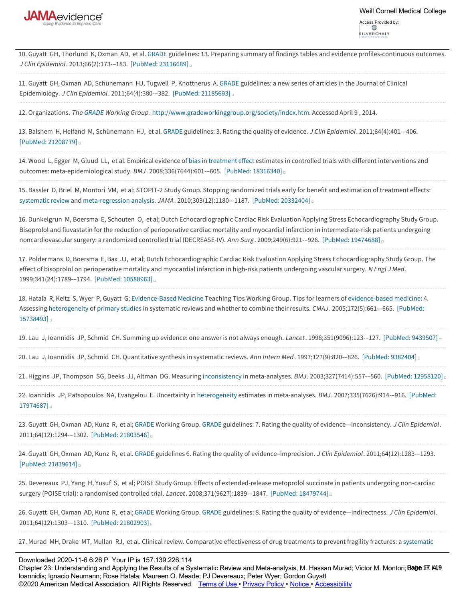

| 10. Guyatt GH, Thorlund K, Oxman AD, et al. GRADE guidelines: 13. Preparing summary of findings tables and evidence profiles-continuous outcomes.<br>J Clin Epidemiol. 2013;66(2):173--183. [PubMed: 23116689]                                                                                                                                                                                                                    |
|-----------------------------------------------------------------------------------------------------------------------------------------------------------------------------------------------------------------------------------------------------------------------------------------------------------------------------------------------------------------------------------------------------------------------------------|
| 11. Guyatt GH, Oxman AD, Schünemann HJ, Tugwell P, Knottnerus A. GRADE guidelines: a new series of articles in the Journal of Clinical<br>Epidemiology. J Clin Epidemiol. 2011;64(4):380--382. [PubMed: 21185693]                                                                                                                                                                                                                 |
| 12. Organizations. The GRADE Working Group. http://www.gradeworkinggroup.org/society/index.htm. Accessed April 9, 2014.                                                                                                                                                                                                                                                                                                           |
| 13. Balshem H, Helfand M, Schünemann HJ, et al. GRADE guidelines: 3. Rating the quality of evidence. J Clin Epidemiol. 2011;64(4):401--406.<br>[PubMed: 21208779]                                                                                                                                                                                                                                                                 |
| 14. Wood L, Egger M, Gluud LL, et al. Empirical evidence of bias in treatment effect estimates in controlled trials with different interventions and<br>outcomes: meta-epidemiological study. BMJ. 2008;336(7644):601--605. [PubMed: 18316340]                                                                                                                                                                                    |
| 15. Bassler D, Briel M, Montori VM, et al; STOPIT-2 Study Group. Stopping randomized trials early for benefit and estimation of treatment effects:<br>systematic review and meta-regression analysis. JAMA. 2010;303(12):1180--1187. [PubMed: 20332404] a                                                                                                                                                                         |
| 16. Dunkelgrun M, Boersma E, Schouten O, et al; Dutch Echocardiographic Cardiac Risk Evaluation Applying Stress Echocardiography Study Group.<br>Bisoprolol and fluvastatin for the reduction of perioperative cardiac mortality and myocardial infarction in intermediate-risk patients undergoing<br>noncardiovascular surgery: a randomized controlled trial (DECREASE-IV). Ann Surg. 2009;249(6):921--926. [PubMed: 19474688] |
| 17. Poldermans D, Boersma E, Bax JJ, et al; Dutch Echocardiographic Cardiac Risk Evaluation Applying Stress Echocardiography Study Group. The<br>effect of bisoprolol on perioperative mortality and myocardial infarction in high-risk patients undergoing vascular surgery. N Engl J Med.<br>1999;341(24):1789--1794. [PubMed: 10588963]                                                                                        |
| 18. Hatala R, Keitz S, Wyer P, Guyatt G; Evidence-Based Medicine Teaching Tips Working Group. Tips for learners of evidence-based medicine: 4.<br>Assessing heterogeneity of primary studies in systematic reviews and whether to combine their results. CMAJ. 2005;172(5):661--665. [PubMed:<br>15738493]                                                                                                                        |
| 19. Lau J, Ioannidis JP, Schmid CH. Summing up evidence: one answer is not always enough. Lancet. 1998;351(9096):123--127. [PubMed: 9439507]                                                                                                                                                                                                                                                                                      |
| 20. Lau J, Ioannidis JP, Schmid CH. Quantitative synthesis in systematic reviews. Ann Intern Med. 1997;127(9):820--826. [PubMed: 9382404]                                                                                                                                                                                                                                                                                         |
| 21. Higgins JP, Thompson SG, Deeks JJ, Altman DG. Measuring inconsistency in meta-analyses. BMJ. 2003;327(7414):557--560. [PubMed: 12958120]                                                                                                                                                                                                                                                                                      |
| 22. Ioannidis JP, Patsopoulos NA, Evangelou E. Uncertainty in heterogeneity estimates in meta-analyses. BMJ. 2007;335(7626):914--916. [PubMed:<br>17974687                                                                                                                                                                                                                                                                        |
| 23. Guyatt GH, Oxman AD, Kunz R, et al; GRADE Working Group. GRADE guidelines: 7. Rating the quality of evidence—inconsistency. J Clin Epidemiol.<br>2011;64(12):1294--1302. [PubMed: 21803546] a                                                                                                                                                                                                                                 |
| 24. Guyatt GH, Oxman AD, Kunz R, et al. GRADE guidelines 6. Rating the quality of evidence-imprecision. J Clin Epidemiol. 2011;64(12):1283--1293.<br>[PubMed: 21839614] D                                                                                                                                                                                                                                                         |
| 25. Devereaux PJ, Yang H, Yusuf S, et al; POISE Study Group. Effects of extended-release metoprolol succinate in patients undergoing non-cardiac<br>surgery (POISE trial): a randomised controlled trial. Lancet. 2008;371(9627):1839--1847. [PubMed: 18479744] .                                                                                                                                                                 |
| 26. Guyatt GH, Oxman AD, Kunz R, et al; GRADE Working Group. GRADE guidelines: 8. Rating the quality of evidence—indirectness. J Clin Epidemiol.<br>2011;64(12):1303--1310. [PubMed: 21802903] a                                                                                                                                                                                                                                  |
| 27. Murad MH, Drake MT, Mullan RJ, et al. Clinical review. Comparative effectiveness of drug treatments to prevent fragility fractures: a systematic                                                                                                                                                                                                                                                                              |
|                                                                                                                                                                                                                                                                                                                                                                                                                                   |

Downloaded 2020-11-6 6:26 P Your IP is 157.139.226.114

Chapter 23: Understanding and Applying the Results of a Systematic Review and Meta-analysis, M. Hassan Murad; Victor M. Montori; Dage 17: At 9 29. Stern JM, Simes RJ. Publication bias: evidence of delayed publication in a cohort study of clinical research projects. BMJ . 1997;315(7109):640-– ©2020 American Medical Association. All Rights Reserved.  [Terms of Use](https://jamaevidence.mhmedical.com/ss/terms.aspx) • [Privacy Policy](https://jamaevidence.mhmedical.com/privacy) • [Notice](https://jamaevidence.mhmedical.com/ss/notice.aspx) • [Accessibility](https://jamaevidence.mhmedical.com/about/accessibility.html) Ioannidis; Ignacio Neumann; Rose Hatala; Maureen O. Meade; PJ Devereaux; Peter Wyer; Gordon Guyatt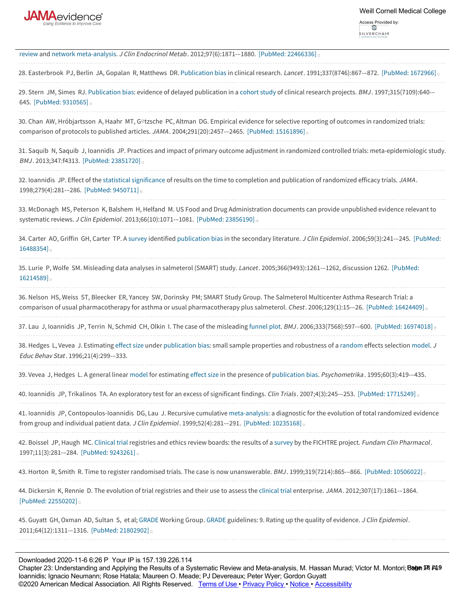

| review and network meta-analysis. J Clin Endocrinol Metab. 2012;97(6):1871--1880. [PubMed: 22466336] a                                                                                                                                                                         |
|--------------------------------------------------------------------------------------------------------------------------------------------------------------------------------------------------------------------------------------------------------------------------------|
| 28. Easterbrook PJ, Berlin JA, Gopalan R, Matthews DR. Publication bias in clinical research. Lancet. 1991;337(8746):867--872. [PubMed: 1672966] D                                                                                                                             |
| 29. Stern JM, Simes RJ. Publication bias: evidence of delayed publication in a cohort study of clinical research projects. BMJ. 1997;315(7109):640-<br>645. [PubMed: 9310565]                                                                                                  |
| 30. Chan AW, Hróbjartsson A, Haahr MT, G <sup>o</sup> tzsche PC, Altman DG. Empirical evidence for selective reporting of outcomes in randomized trials:<br>comparison of protocols to published articles. JAMA. 2004;291(20):2457--2465. [PubMed: 15161896] .                 |
| 31. Saquib N, Saquib J, Ioannidis JP. Practices and impact of primary outcome adjustment in randomized controlled trials: meta-epidemiologic study.<br>BMJ. 2013;347:f4313. [PubMed: 23851720] .                                                                               |
| 32. Ioannidis JP. Effect of the statistical significance of results on the time to completion and publication of randomized efficacy trials. JAMA.<br>1998;279(4):281--286. [PubMed: 9450711]                                                                                  |
| 33. McDonagh MS, Peterson K, Balshem H, Helfand M. US Food and Drug Administration documents can provide unpublished evidence relevant to<br>systematic reviews. J Clin Epidemiol. 2013;66(10):1071--1081. [PubMed: 23856190]                                                  |
| 34. Carter AO, Griffin GH, Carter TP. A survey identified publication bias in the secondary literature. J Clin Epidemiol. 2006;59(3):241--245. [PubMed:<br>$16488354$ =                                                                                                        |
| 35. Lurie P, Wolfe SM. Misleading data analyses in salmeterol (SMART) study. Lancet. 2005;366(9493):1261--1262, discussion 1262. [PubMed:<br>16214589]                                                                                                                         |
| 36. Nelson HS, Weiss ST, Bleecker ER, Yancey SW, Dorinsky PM; SMART Study Group. The Salmeterol Multicenter Asthma Research Trial: a<br>comparison of usual pharmacotherapy for asthma or usual pharmacotherapy plus salmeterol. Chest. 2006;129(1):15--26. [PubMed: 16424409] |
| 37. Lau J, Ioannidis JP, Terrin N, Schmid CH, Olkin I. The case of the misleading funnel plot. BMJ. 2006;333(7568):597--600. [PubMed: 16974018]                                                                                                                                |
| 38. Hedges L, Vevea J. Estimating effect size under publication bias: small sample properties and robustness of a random effects selection model. J<br>Educ Behav Stat. 1996;21(4):299--333.                                                                                   |
| 39. Vevea J, Hedges L. A general linear model for estimating effect size in the presence of publication bias. Psychometrika. 1995;60(3):419--435.                                                                                                                              |
| 40. Ioannidis JP, Trikalinos TA. An exploratory test for an excess of significant findings. Clin Trials. 2007;4(3):245--253. [PubMed: 17715249]                                                                                                                                |
| 41. Ioannidis JP, Contopoulos-Ioannidis DG, Lau J. Recursive cumulative meta-analysis: a diagnostic for the evolution of total randomized evidence<br>from group and individual patient data. J Clin Epidemiol. 1999;52(4):281--291. [PubMed: 10235168] a                      |
| 42. Boissel JP, Haugh MC. Clinical trial registries and ethics review boards: the results of a survey by the FICHTRE project. Fundam Clin Pharmacol.<br>1997;11(3):281--284. [PubMed: 9243261]                                                                                 |
| 43. Horton R, Smith R. Time to register randomised trials. The case is now unanswerable. BMJ. 1999;319(7214):865--866. [PubMed: 10506022] a                                                                                                                                    |
| 44. Dickersin K, Rennie D. The evolution of trial registries and their use to assess the clinical trial enterprise. JAMA. 2012;307(17):1861--1864.<br>[PubMed: 22550202]                                                                                                       |
| 45. Guyatt GH, Oxman AD, Sultan S, et al; GRADE Working Group. GRADE guidelines: 9. Rating up the quality of evidence. J Clin Epidemiol.<br>2011;64(12):1311--1316. [PubMed: 21802902]                                                                                         |
|                                                                                                                                                                                                                                                                                |

Downloaded 2020-11-6 6:26 P Your IP is 157.139.226.114

46.

Chapter 23: Understanding and Applying the Results of a Systematic Review and Meta-analysis, M. Hassan Murad; Victor M. Montori;**Bege 18 /49** Ioannidis; Ignacio Neumann; Rose Hatala; Maureen O. Meade; PJ Devereaux; Peter Wyer; Gordon Guyatt ©2020 American Medical Association. All Rights Reserved. [Terms of Use](https://jamaevidence.mhmedical.com/ss/terms.aspx) · [Privacy Policy](https://jamaevidence.mhmedical.com/privacy) · [Notice](https://jamaevidence.mhmedical.com/ss/notice.aspx) · [Accessibility](https://jamaevidence.mhmedical.com/about/accessibility.html)

 $G_{\rm eff}$  infant sleeping position and the sudden infant death syndrome: systematic review of observation and the syndrome: systematic review of observational studies of observational studies  $\alpha$